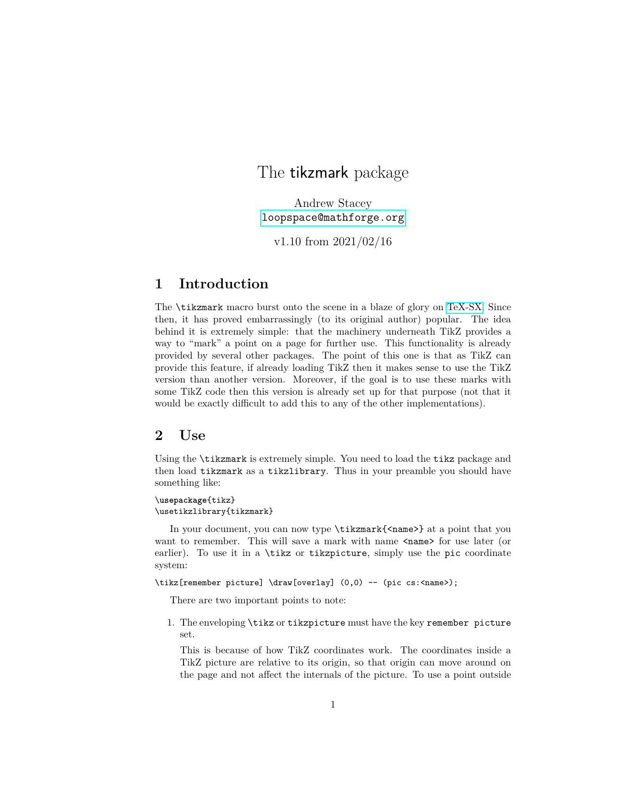# The **tikzmark** package

Andrew Stacey <loopspace@mathforge.org>

v1.10 from 2021/02/16

# **1 Introduction**

The \tikzmark macro burst onto the scene in a blaze of glory on [TeX-SX.](http://tex.stackexchange.com) Since then, it has proved embarrassingly (to its original author) popular. The idea behind it is extremely simple: that the machinery underneath TikZ provides a way to "mark" a point on a page for further use. This functionality is already provided by several other packages. The point of this one is that as TikZ can provide this feature, if already loading TikZ then it makes sense to use the TikZ version than another version. Moreover, if the goal is to use these marks with some TikZ code then this version is already set up for that purpose (not that it would be exactly difficult to add this to any of the other implementations).

# **2 Use**

Using the \tikzmark is extremely simple. You need to load the tikz package and then load tikzmark as a tikzlibrary. Thus in your preamble you should have something like:

\**usepackage**{tikz} \usetikzlibrary{tikzmark}

In your document, you can now type  $\text{Kzmark}\$ name> at a point that you want to remember. This will save a mark with name  $\epsilon$ name for use later (or earlier). To use it in a \tikz or tikzpicture, simply use the pic coordinate system:

\tikz[remember picture] \draw[overlay]  $(0,0)$  -- (pic cs:<name>);

There are two important points to note:

1. The enveloping \tikz or tikzpicture must have the key remember picture set.

This is because of how TikZ coordinates work. The coordinates inside a TikZ picture are relative to its origin, so that origin can move around on the page and not affect the internals of the picture. To use a point outside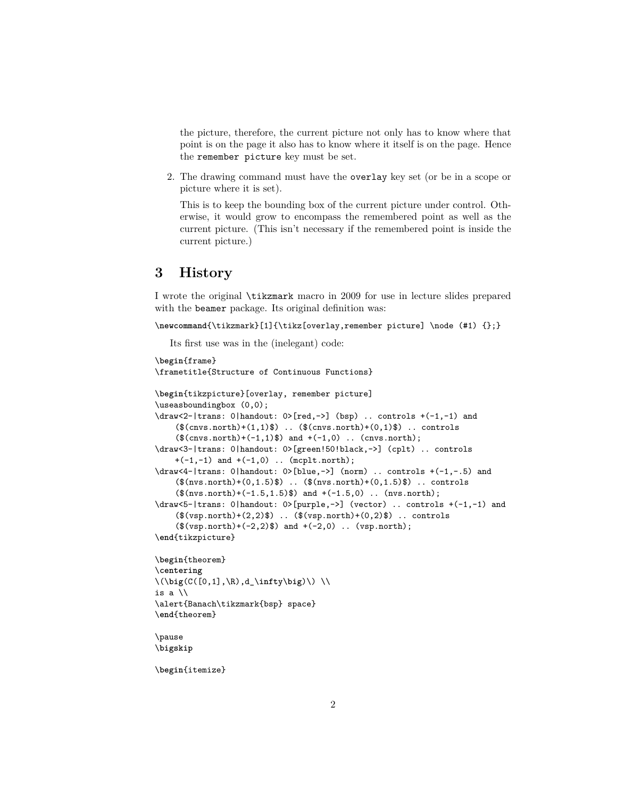the picture, therefore, the current picture not only has to know where that point is on the page it also has to know where it itself is on the page. Hence the remember picture key must be set.

2. The drawing command must have the overlay key set (or be in a scope or picture where it is set).

This is to keep the bounding box of the current picture under control. Otherwise, it would grow to encompass the remembered point as well as the current picture. (This isn't necessary if the remembered point is inside the current picture.)

# **3 History**

I wrote the original \tikzmark macro in 2009 for use in lecture slides prepared with the beamer package. Its original definition was:

```
\newcommand{\tikzmark}[1]{\tikz[overlay,remember picture] \node (#1) {};}
```
Its first use was in the (inelegant) code:

```
\begin{frame}
\frametitle{Structure of Continuous Functions}
\begin{tikzpicture}[overlay, remember picture]
\useasboundingbox (0,0);
\draw<2-|trans: 0|handout: 0>[red,->] (bsp) .. controls +(-1,-1) and
    ($convs.north)+(1,1)$ .. $(Cnvs.north)+(0,1)$ .. controls
    ($convs.north)+(-1,1)$ and +(-1,0).. (cnvs.north);
\draw<3-|trans: 0|handout: 0>[green!50!black,->] (cplt) .. controls
    +(-1,-1) and +(-1,0) .. (mcplt.north);
\dagger \draw<4-|trans: 0|handout: 0>[blue,->] (norm) .. controls +(-1,-.5) and
    ($nvs.north)+(0,1.5)$ .. $(nvs.north)+(0,1.5)$ .. controls
    ($nvs.north)+(-1.5,1.5)$ and +(-1.5,0).. (nvs.north);
\draw<5-|trans: 0|handout: 0>[purple,->] (vector) .. controls +(-1,-1) and
    ($(vsp.north)+(2,2)$) .. ($(vsp.north)+(0,2)$) .. controls
    ($(vsp.north)+(-2,2)$) and <math>+(-2,0)</math> . . (vsp.north);\end{tikzpicture}
\begin{theorem}
\centering
\(\big(C([0,1],\R),d_\infty\big)\) \\
is a \\
\alert{Banach\tikzmark{bsp} space}
\end{theorem}
\pause
\bigskip
```
\**begin**{itemize}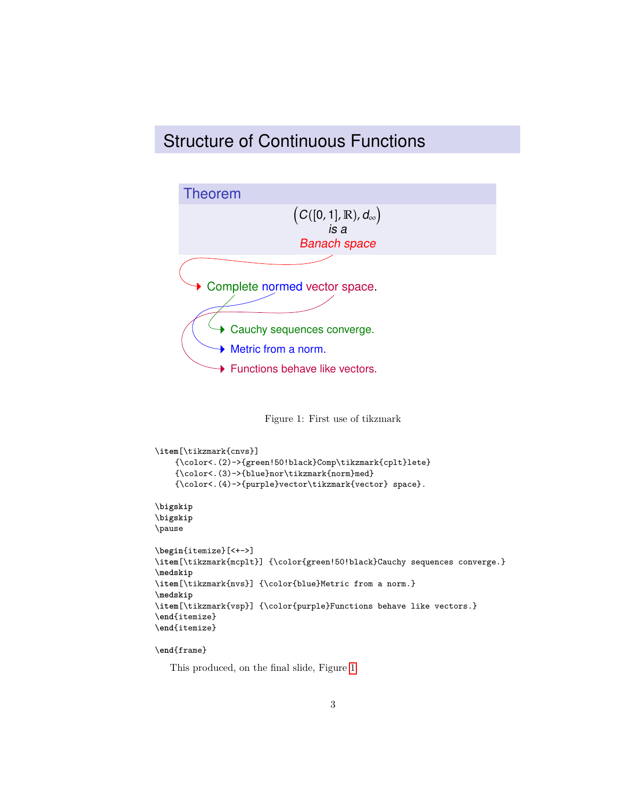# Structure of Continuous Functions



<span id="page-2-0"></span>Figure 1: First use of tikzmark

```
\item[\tikzmark{cnvs}]
    {\color<.(2)->{green!50!black}Comp\tikzmark{cplt}lete}
    {\color<.(3)->{blue}nor\tikzmark{norm}med}
    {\color<.(4)->{purple}vector\tikzmark{vector} space}.
\bigskip
\bigskip
\pause
\begin{itemize}[<+->]
\item[\tikzmark{mcplt}] {\color{green!50!black}Cauchy sequences converge.}
\medskip
\item[\tikzmark{nvs}] {\color{blue}Metric from a norm.}
\medskip
\item[\tikzmark{vsp}] {\color{purple}Functions behave like vectors.}
\end{itemize}
\end{itemize}
```
## \**end**{frame}

This produced, on the final slide, Figure [1.](#page-2-0)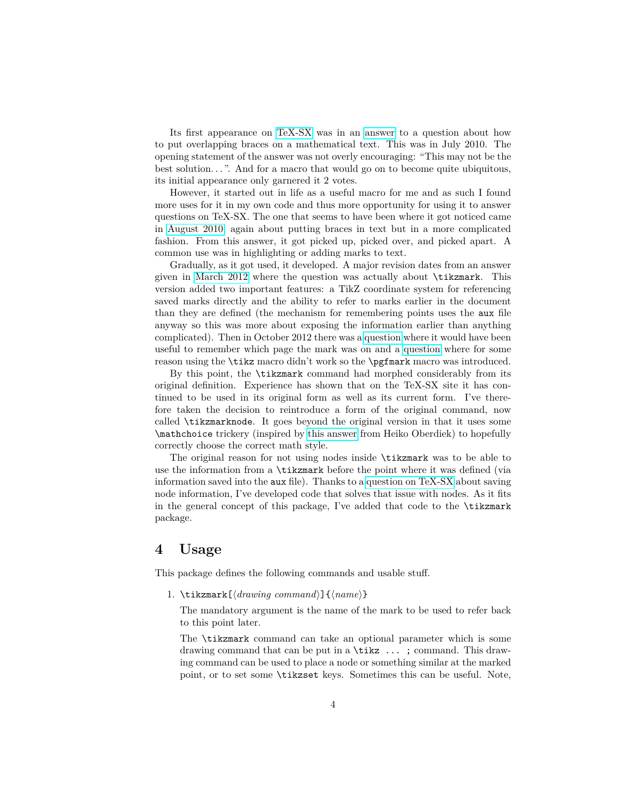Its first appearance on [TeX-SX](http://tex.stackexchange.com) was in an [answer](http://tex.stackexchange.com/a/316/86) to a question about how to put overlapping braces on a mathematical text. This was in July 2010. The opening statement of the answer was not overly encouraging: "This may not be the best solution. . . ". And for a macro that would go on to become quite ubiquitous, its initial appearance only garnered it 2 votes.

However, it started out in life as a useful macro for me and as such I found more uses for it in my own code and thus more opportunity for using it to answer questions on TeX-SX. The one that seems to have been where it got noticed came in [August 2010,](http://tex.stackexchange.com/a/1570/86) again about putting braces in text but in a more complicated fashion. From this answer, it got picked up, picked over, and picked apart. A common use was in highlighting or adding marks to text.

Gradually, as it got used, it developed. A major revision dates from an answer given in [March 2012](http://tex.stackexchange.com/a/50054/86) where the question was actually about \tikzmark. This version added two important features: a TikZ coordinate system for referencing saved marks directly and the ability to refer to marks earlier in the document than they are defined (the mechanism for remembering points uses the aux file anyway so this was more about exposing the information earlier than anything complicated). Then in October 2012 there was a [question](http://tex.stackexchange.com/q/79121/86) where it would have been useful to remember which page the mark was on and a [question](http://tex.stackexchange.com/q/79762/86) where for some reason using the \tikz macro didn't work so the \pgfmark macro was introduced.

By this point, the \tikzmark command had morphed considerably from its original definition. Experience has shown that on the TeX-SX site it has continued to be used in its original form as well as its current form. I've therefore taken the decision to reintroduce a form of the original command, now called \tikzmarknode. It goes beyond the original version in that it uses some \mathchoice trickery (inspired by [this answer](https://tex.stackexchange.com/a/122419/86) from Heiko Oberdiek) to hopefully correctly choose the correct math style.

The original reason for not using nodes inside \tikzmark was to be able to use the information from a \tikzmark before the point where it was defined (via information saved into the aux file). Thanks to a [question on TeX-SX](https://tex.stackexchange.com/a/415862/86) about saving node information, I've developed code that solves that issue with nodes. As it fits in the general concept of this package, I've added that code to the \tikzmark package.

# **4 Usage**

This package defines the following commands and usable stuff.

1. \tikzmark[ $\langle drawning\ common\rangle$ ]{ $\langle name\rangle$ }

The mandatory argument is the name of the mark to be used to refer back to this point later.

The \tikzmark command can take an optional parameter which is some drawing command that can be put in a \tikz ... ; command. This drawing command can be used to place a node or something similar at the marked point, or to set some \tikzset keys. Sometimes this can be useful. Note,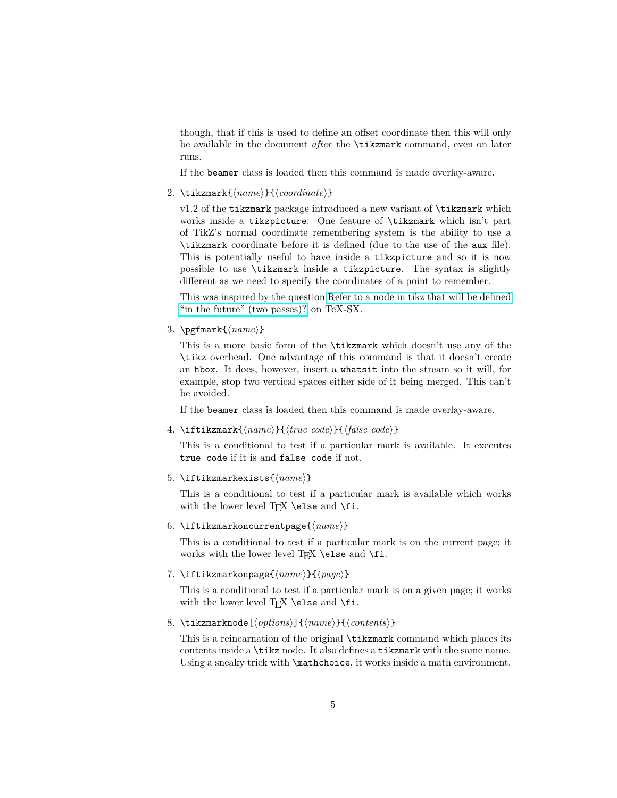though, that if this is used to define an offset coordinate then this will only be available in the document *after* the \tikzmark command, even on later runs.

If the beamer class is loaded then this command is made overlay-aware.

2. \tikzmark{ $\langle name \rangle$ }{ $\langle coordinate \rangle$ }

v1.2 of the tikzmark package introduced a new variant of \tikzmark which works inside a tikzpicture. One feature of \tikzmark which isn't part of TikZ's normal coordinate remembering system is the ability to use a \tikzmark coordinate before it is defined (due to the use of the aux file). This is potentially useful to have inside a tikzpicture and so it is now possible to use \tikzmark inside a tikzpicture. The syntax is slightly different as we need to specify the coordinates of a point to remember.

This was inspired by the question [Refer to a node in tikz that will be defined](http://tex.stackexchange.com/q/295903/86) ["in the future" \(two passes\)?](http://tex.stackexchange.com/q/295903/86) on TeX-SX.

3. \pgfmark{\*name*}}

This is a more basic form of the \tikzmark which doesn't use any of the \tikz overhead. One advantage of this command is that it doesn't create an hbox. It does, however, insert a whatsit into the stream so it will, for example, stop two vertical spaces either side of it being merged. This can't be avoided.

If the beamer class is loaded then this command is made overlay-aware.

4. \iftikzmark{ $\langle name \rangle$ }{ $\langle true \ code \rangle$ }{ $\langle false \ code \rangle$ }

This is a conditional to test if a particular mark is available. It executes true code if it is and false code if not.

5. \iftikzmarkexists{ $\langle name \rangle$ }

This is a conditional to test if a particular mark is available which works with the lower level  $TFX \ \text{else}$  and  $\fi$ .

6. \iftikzmarkoncurrentpage{ $\langle name \rangle$ }

This is a conditional to test if a particular mark is on the current page; it works with the lower level T<sub>E</sub>X \else and \fi.

7. \iftikzmarkonpage{ $\langle name \rangle$ }{ $\langle page \rangle$ }

This is a conditional to test if a particular mark is on a given page; it works with the lower level TFX \else and \fi.

8. \tikzmarknode[ $\langle options\rangle$ ]{ $\langle names\rangle$ }{ $\langle contents\rangle$ }

This is a reincarnation of the original \tikzmark command which places its contents inside a \tikz node. It also defines a tikzmark with the same name. Using a sneaky trick with **\mathchoice**, it works inside a math environment.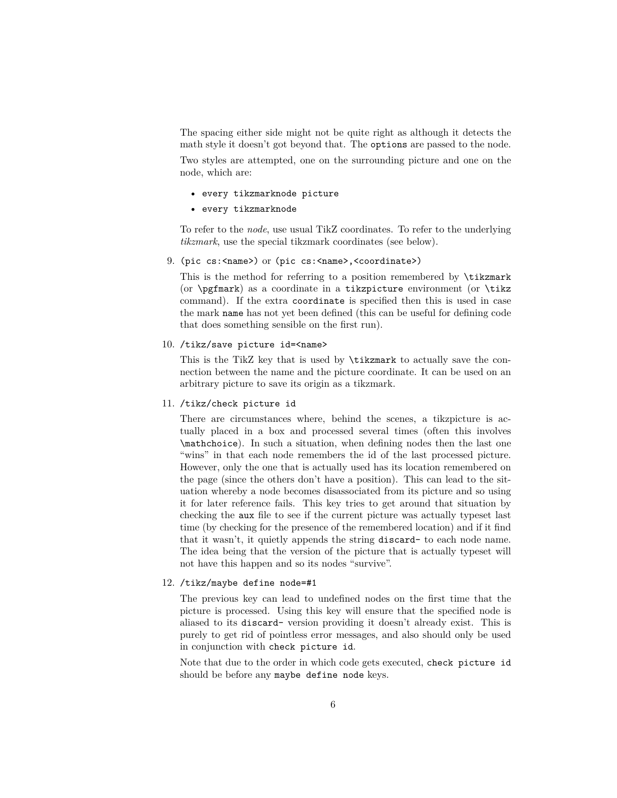The spacing either side might not be quite right as although it detects the math style it doesn't got beyond that. The options are passed to the node.

Two styles are attempted, one on the surrounding picture and one on the node, which are:

- every tikzmarknode picture
- every tikzmarknode

To refer to the *node*, use usual TikZ coordinates. To refer to the underlying *tikzmark*, use the special tikzmark coordinates (see below).

9. (pic cs:<name>) or (pic cs:<name>,<coordinate>)

This is the method for referring to a position remembered by  $\text{tikzmark}$ (or  $\text{logfmark}$ ) as a coordinate in a tikzpicture environment (or  $\text{trikz}$ command). If the extra coordinate is specified then this is used in case the mark name has not yet been defined (this can be useful for defining code that does something sensible on the first run).

10. /tikz/save picture id=<name>

This is the TikZ key that is used by \tikzmark to actually save the connection between the name and the picture coordinate. It can be used on an arbitrary picture to save its origin as a tikzmark.

11. /tikz/check picture id

There are circumstances where, behind the scenes, a tikzpicture is actually placed in a box and processed several times (often this involves \mathchoice). In such a situation, when defining nodes then the last one "wins" in that each node remembers the id of the last processed picture. However, only the one that is actually used has its location remembered on the page (since the others don't have a position). This can lead to the situation whereby a node becomes disassociated from its picture and so using it for later reference fails. This key tries to get around that situation by checking the aux file to see if the current picture was actually typeset last time (by checking for the presence of the remembered location) and if it find that it wasn't, it quietly appends the string discard- to each node name. The idea being that the version of the picture that is actually typeset will not have this happen and so its nodes "survive".

#### 12. /tikz/maybe define node=#1

The previous key can lead to undefined nodes on the first time that the picture is processed. Using this key will ensure that the specified node is aliased to its discard- version providing it doesn't already exist. This is purely to get rid of pointless error messages, and also should only be used in conjunction with check picture id.

Note that due to the order in which code gets executed, check picture id should be before any maybe define node keys.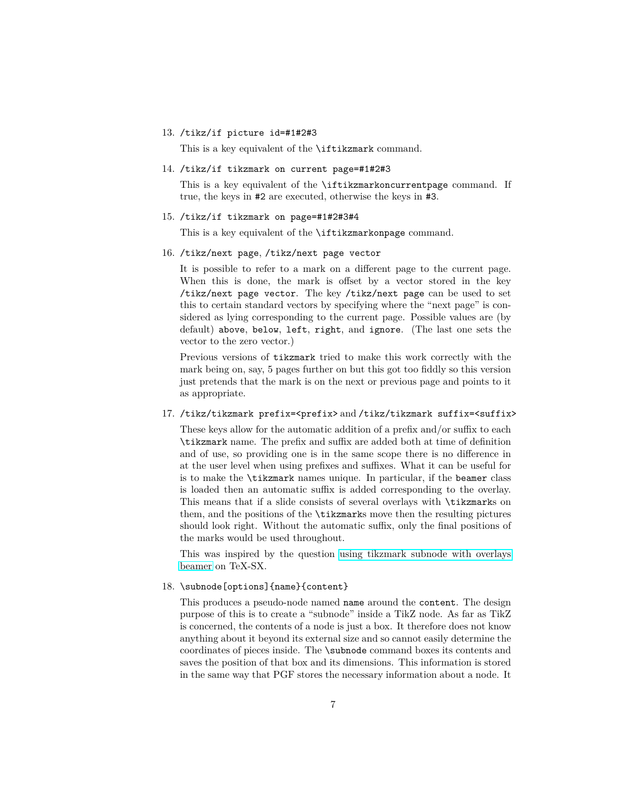#### 13. /tikz/if picture id=#1#2#3

This is a key equivalent of the **\iftikzmark** command.

#### 14. /tikz/if tikzmark on current page=#1#2#3

This is a key equivalent of the \iftikzmarkoncurrentpage command. If true, the keys in #2 are executed, otherwise the keys in #3.

#### 15. /tikz/if tikzmark on page=#1#2#3#4

This is a key equivalent of the \iftikzmarkonpage command.

#### 16. /tikz/next page, /tikz/next page vector

It is possible to refer to a mark on a different page to the current page. When this is done, the mark is offset by a vector stored in the key /tikz/next page vector. The key /tikz/next page can be used to set this to certain standard vectors by specifying where the "next page" is considered as lying corresponding to the current page. Possible values are (by default) above, below, left, right, and ignore. (The last one sets the vector to the zero vector.)

Previous versions of tikzmark tried to make this work correctly with the mark being on, say, 5 pages further on but this got too fiddly so this version just pretends that the mark is on the next or previous page and points to it as appropriate.

## 17. /tikz/tikzmark prefix=<prefix> and /tikz/tikzmark suffix=<suffix>

These keys allow for the automatic addition of a prefix and/or suffix to each \tikzmark name. The prefix and suffix are added both at time of definition and of use, so providing one is in the same scope there is no difference in at the user level when using prefixes and suffixes. What it can be useful for is to make the \tikzmark names unique. In particular, if the beamer class is loaded then an automatic suffix is added corresponding to the overlay. This means that if a slide consists of several overlays with \tikzmarks on them, and the positions of the \tikzmarks move then the resulting pictures should look right. Without the automatic suffix, only the final positions of the marks would be used throughout.

This was inspired by the question [using tikzmark subnode with overlays](http://tex.stackexchange.com/q/302517/86) [beamer](http://tex.stackexchange.com/q/302517/86) on TeX-SX.

## 18. \subnode[options]{name}{content}

This produces a pseudo-node named name around the content. The design purpose of this is to create a "subnode" inside a TikZ node. As far as TikZ is concerned, the contents of a node is just a box. It therefore does not know anything about it beyond its external size and so cannot easily determine the coordinates of pieces inside. The \subnode command boxes its contents and saves the position of that box and its dimensions. This information is stored in the same way that PGF stores the necessary information about a node. It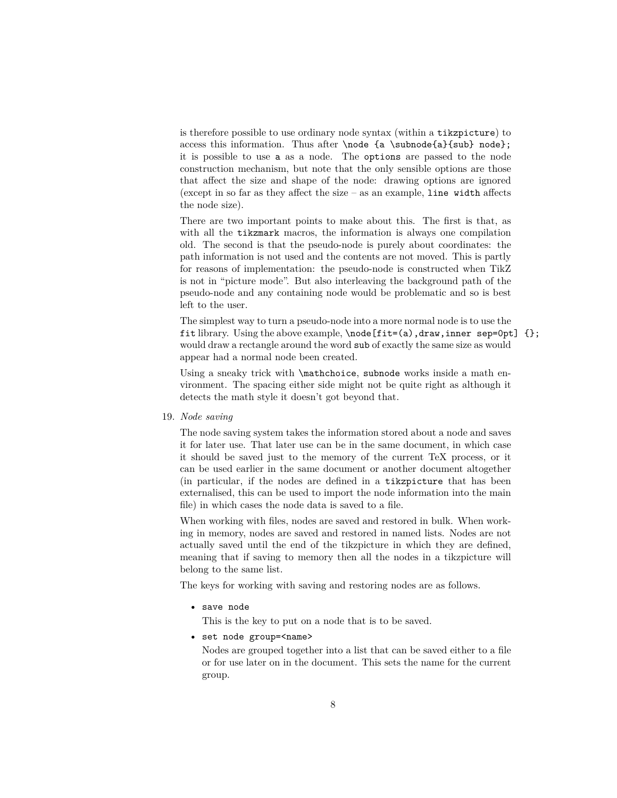is therefore possible to use ordinary node syntax (within a tikzpicture) to access this information. Thus after \node {a \subnode{a}{sub} node}; it is possible to use a as a node. The options are passed to the node construction mechanism, but note that the only sensible options are those that affect the size and shape of the node: drawing options are ignored (except in so far as they affect the size – as an example, line width affects the node size).

There are two important points to make about this. The first is that, as with all the tikzmark macros, the information is always one compilation old. The second is that the pseudo-node is purely about coordinates: the path information is not used and the contents are not moved. This is partly for reasons of implementation: the pseudo-node is constructed when TikZ is not in "picture mode". But also interleaving the background path of the pseudo-node and any containing node would be problematic and so is best left to the user.

The simplest way to turn a pseudo-node into a more normal node is to use the fit library. Using the above example, \node[fit=(a),draw,inner sep=0pt] {}; would draw a rectangle around the word sub of exactly the same size as would appear had a normal node been created.

Using a sneaky trick with \mathchoice, subnode works inside a math environment. The spacing either side might not be quite right as although it detects the math style it doesn't got beyond that.

19. *Node saving*

The node saving system takes the information stored about a node and saves it for later use. That later use can be in the same document, in which case it should be saved just to the memory of the current TeX process, or it can be used earlier in the same document or another document altogether (in particular, if the nodes are defined in a tikzpicture that has been externalised, this can be used to import the node information into the main file) in which cases the node data is saved to a file.

When working with files, nodes are saved and restored in bulk. When working in memory, nodes are saved and restored in named lists. Nodes are not actually saved until the end of the tikzpicture in which they are defined, meaning that if saving to memory then all the nodes in a tikzpicture will belong to the same list.

The keys for working with saving and restoring nodes are as follows.

• save node

This is the key to put on a node that is to be saved.

• set node group=<name>

Nodes are grouped together into a list that can be saved either to a file or for use later on in the document. This sets the name for the current group.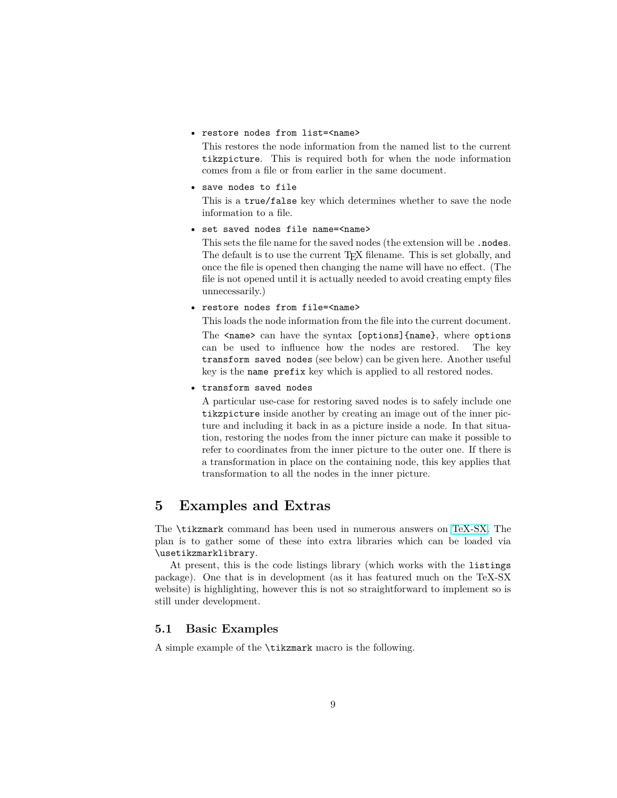• restore nodes from list=<name>

This restores the node information from the named list to the current tikzpicture. This is required both for when the node information comes from a file or from earlier in the same document.

• save nodes to file

This is a true/false key which determines whether to save the node information to a file.

• set saved nodes file name=<name>

This sets the file name for the saved nodes (the extension will be .nodes. The default is to use the current T<sub>E</sub>X filename. This is set globally, and once the file is opened then changing the name will have no effect. (The file is not opened until it is actually needed to avoid creating empty files unnecessarily.)

• restore nodes from file=<name>

This loads the node information from the file into the current document. The <name> can have the syntax [options]{name}, where options can be used to influence how the nodes are restored. The key transform saved nodes (see below) can be given here. Another useful key is the name prefix key which is applied to all restored nodes.

• transform saved nodes

A particular use-case for restoring saved nodes is to safely include one tikzpicture inside another by creating an image out of the inner picture and including it back in as a picture inside a node. In that situation, restoring the nodes from the inner picture can make it possible to refer to coordinates from the inner picture to the outer one. If there is a transformation in place on the containing node, this key applies that transformation to all the nodes in the inner picture.

# **5 Examples and Extras**

The \tikzmark command has been used in numerous answers on [TeX-SX.](http://tex.stackexchange.com) The plan is to gather some of these into extra libraries which can be loaded via \usetikzmarklibrary.

At present, this is the code listings library (which works with the listings package). One that is in development (as it has featured much on the TeX-SX website) is highlighting, however this is not so straightforward to implement so is still under development.

## **5.1 Basic Examples**

A simple example of the \tikzmark macro is the following.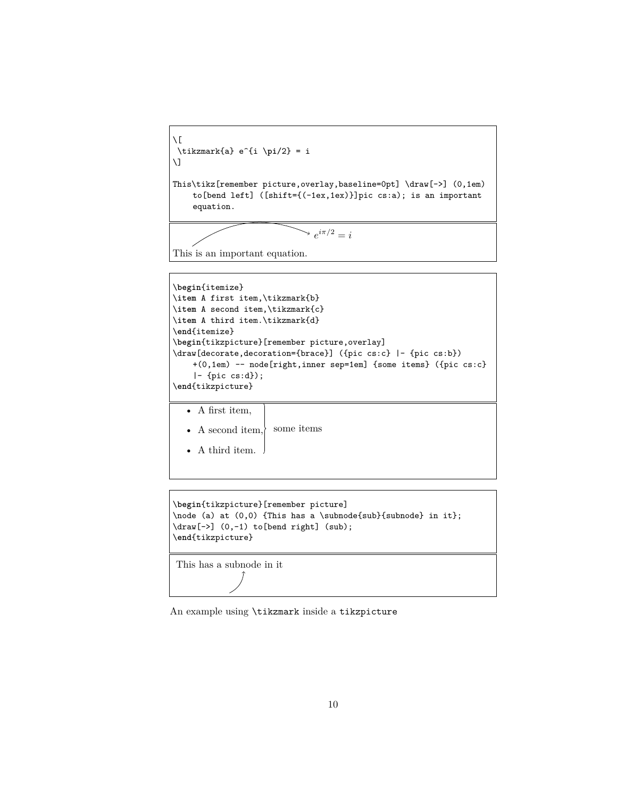```
\sqrt{2}\tikzmark{a} e^{i \pi/2} = i
\setminus]
This\tikz[remember picture,overlay,baseline=0pt] \draw[->] (0,1em)
    to[bend left] ([shift={(-1ex,1ex)}]pic cs:a); is an important
    equation.
```
 $e^{i\pi/2} = i$ 

This is an important equation.

```
\begin{itemize}
\item A first item,\tikzmark{b}
\item A second item,\tikzmark{c}
\item A third item.\tikzmark{d}
\end{itemize}
\begin{tikzpicture}[remember picture,overlay]
\draw[decorate,decoration={brace}] ({pic cs:c} |- {pic cs:b})
    +(0,1em) -- node[right,inner sep=1em] {some items} ({pic cs:c}
    |- {pic cs:d});
\end{tikzpicture}
```
• A first item,

- A second item, $\rangle$ some items
- A third item.

```
\begin{tikzpicture}[remember picture]
\node (a) at (0,0) {This has a \subnode{sub}{subnode} in it};
\draw[->] (0,-1) to[bend right] (sub);
\end{tikzpicture}
This has a subnode in it
```
An example using \tikzmark inside a tikzpicture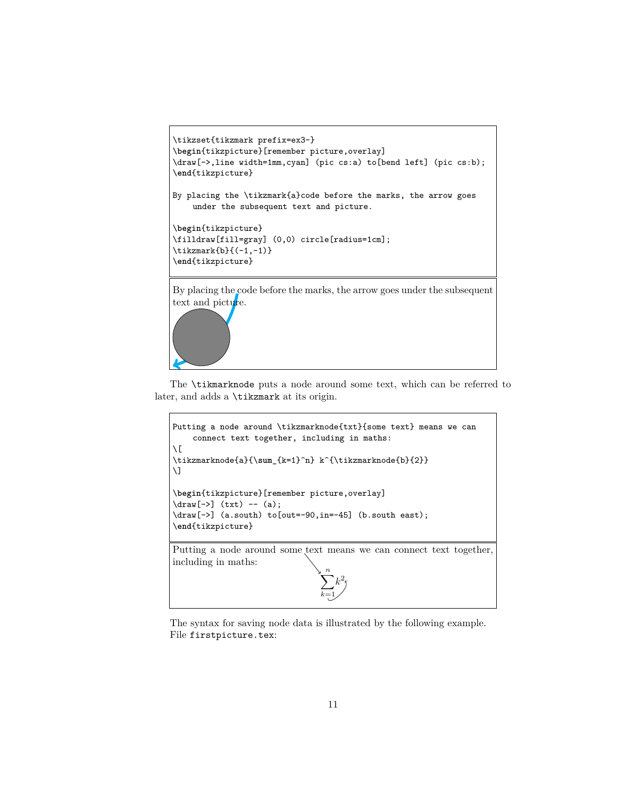```
\tikzset{tikzmark prefix=ex3-}
\begin{tikzpicture}[remember picture,overlay]
\draw[->,line width=1mm,cyan] (pic cs:a) to[bend left] (pic cs:b);
\end{tikzpicture}
By placing the \tikzmark{a}code before the marks, the arrow goes
    under the subsequent text and picture.
\begin{tikzpicture}
\filldraw[fill=gray] (0,0) circle[radius=1cm];
\tikzmark{b}{(-1,-1)}
\end{tikzpicture}
By placing the code before the marks, the arrow goes under the subsequent
text and picture.
```
The \tikmarknode puts a node around some text, which can be referred to later, and adds a \tikzmark at its origin.

```
Putting a node around \tikzmarknode{txt}{some text} means we can
    connect text together, including in maths:
\setminus [
\tikzmarknode{a}{\sum_{k=1}^n} k^{\tikzmarknode{b}{2}}
\setminus]
\begin{tikzpicture}[remember picture,overlay]
\d{raw[->}] (txt) -- (a);
\draw[->] (a.south) to[out=-90,in=-45] (b.south east);
\end{tikzpicture}
Putting a node around some text means we can connect text together,
including in maths:
                                  \sum_{n=1}^{n}k=1
                                     k
                                       2
```
The syntax for saving node data is illustrated by the following example. File firstpicture.tex: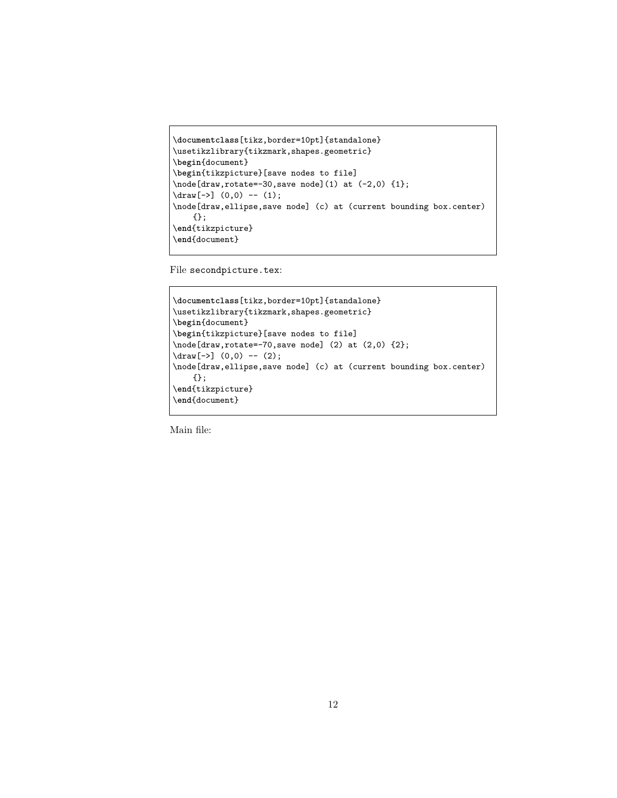```
\documentclass[tikz,border=10pt]{standalone}
\usetikzlibrary{tikzmark,shapes.geometric}
\begin{document}
\begin{tikzpicture}[save nodes to file]
\node[draw,rotate=-30,save node](1) at (-2,0) {1};
\dagger (1);
\node[draw,ellipse,save node] (c) at (current bounding box.center)
    {};
\end{tikzpicture}
\end{document}
```
File secondpicture.tex:

```
\documentclass[tikz,border=10pt]{standalone}
\usetikzlibrary{tikzmark,shapes.geometric}
\begin{document}
\begin{tikzpicture}[save nodes to file]
\node[draw,rotate=-70,save node] (2) at (2,0) {2};
\d{raw[-5]} (0,0) -- (2);\node[draw,ellipse,save node] (c) at (current bounding box.center)
    {};
\end{tikzpicture}
\end{document}
```
Main file: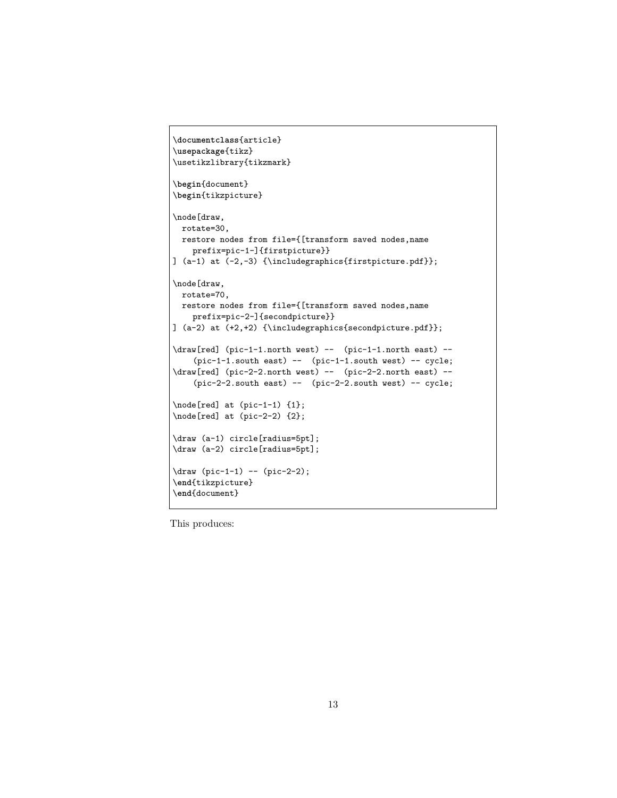```
\documentclass{article}
\usepackage{tikz}
\usetikzlibrary{tikzmark}
\begin{document}
\begin{tikzpicture}
\node[draw,
 rotate=30,
 restore nodes from file={[transform saved nodes,name
    prefix=pic-1-]{firstpicture}}
] (a-1) at (-2,-3) {\includegraphics{firstpicture.pdf}};
\node[draw,
 rotate=70,
 restore nodes from file={[transform saved nodes,name
    prefix=pic-2-]{secondpicture}}
] (a-2) at (+2,+2) {\includegraphics{secondpicture.pdf}};
\draw[red] (pic-1-1.north west) -- (pic-1-1.north east) --
    (pic-1-1.south east) -- (pic-1-1.south west) -- cycle;
\draw[red] (pic-2-2.north west) -- (pic-2-2.north east) --
    (pic-2-2.south east) -- (pic-2-2.south west) -- cycle;
\node[red] at (pic-1-1) {1};
\node[red] at (pic-2-2) {2};
\draw (a-1) circle[radius=5pt];
\draw (a-2) circle[radius=5pt];
\draw (pic-1-1) -- (pic-2-2);
\end{tikzpicture}
\end{document}
```
This produces: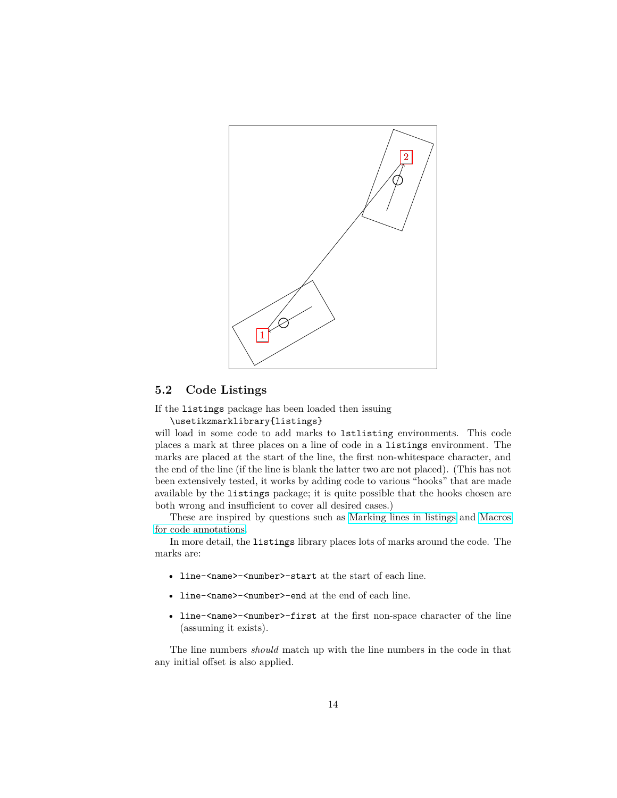

## **5.2 Code Listings**

If the listings package has been loaded then issuing

\usetikzmarklibrary{listings}

will load in some code to add marks to lstlisting environments. This code places a mark at three places on a line of code in a listings environment. The marks are placed at the start of the line, the first non-whitespace character, and the end of the line (if the line is blank the latter two are not placed). (This has not been extensively tested, it works by adding code to various "hooks" that are made available by the listings package; it is quite possible that the hooks chosen are both wrong and insufficient to cover all desired cases.)

These are inspired by questions such as [Marking lines in listings](http://tex.stackexchange.com/q/79762/86) and [Macros](http://tex.stackexchange.com/q/86309/86) [for code annotations.](http://tex.stackexchange.com/q/86309/86)

In more detail, the listings library places lots of marks around the code. The marks are:

- line-<name>-<number>-start at the start of each line.
- line-<name>-<number>-end at the end of each line.
- line-<name>-<number>-first at the first non-space character of the line (assuming it exists).

The line numbers *should* match up with the line numbers in the code in that any initial offset is also applied.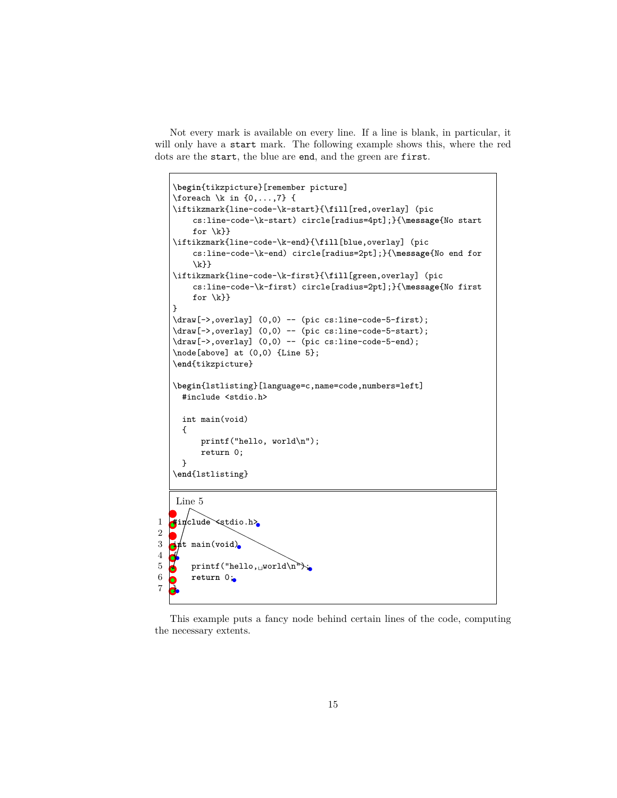Not every mark is available on every line. If a line is blank, in particular, it will only have a start mark. The following example shows this, where the red dots are the start, the blue are end, and the green are first.

```
\begin{tikzpicture}[remember picture]
   \{foreach \k in \{0, \ldots, 7\} {
   \iftikzmark{line-code-\k-start}{\fill[red,overlay] (pic
       cs:line-code-\k-start) circle[radius=4pt];}{\message{No start
       for \k}}
   \iftikzmark{line-code-\k-end}{\fill[blue,overlay] (pic
       cs:line-code-\k-end) circle[radius=2pt];}{\message{No end for
       \k}}
   \iftikzmark{line-code-\k-first}{\fill[green,overlay] (pic
       cs:line-code-\k-first) circle[radius=2pt];}{\message{No first
       for \k}}
   }
   \draw[->,overlay] (0,0) -- (pic cs:line-code-5-first);
   \draw[->,overlay] (0,0) -- (pic cs:line-code-5-start);
   \draw[->,overlay] (0,0) -- (pic cs:line-code-5-end);
   \node[above] at (0,0) {Line 5};
   \end{tikzpicture}
   \begin{lstlisting}[language=c,name=code,numbers=left]
     #include <stdio.h>
     int main(void)
     {
         printf("hello, world\n");
         return 0;
     }
   \end{lstlisting}
   Line 5
1 #include <stdio.h>
2
3 int main(void)
\frac{4}{5}printf("hello, world\n");
6 return 0;
\overline{7}
```
This example puts a fancy node behind certain lines of the code, computing the necessary extents.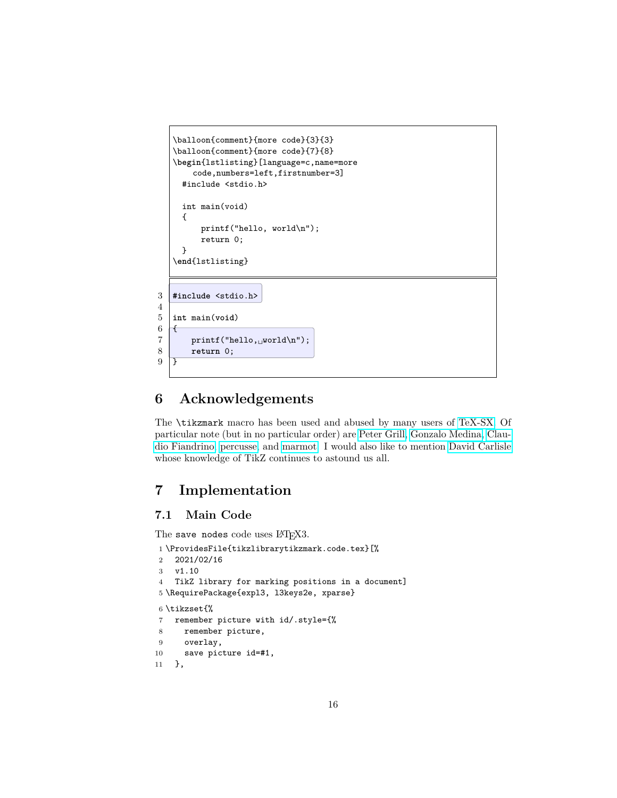

# **6 Acknowledgements**

The \tikzmark macro has been used and abused by many users of [TeX-SX.](http://tex.stackexchange.com) Of particular note (but in no particular order) are [Peter Grill,](https://tex.stackexchange.com/users/4301/peter-grill) [Gonzalo Medina,](https://tex.stackexchange.com/users/3954/gonzalo-medina) [Clau](https://tex.stackexchange.com/users/13304/claudio-fiandrino)[dio Fiandrino,](https://tex.stackexchange.com/users/13304/claudio-fiandrino) [percusse,](https://tex.stackexchange.com/users/3235/percusse) and [marmot.](https://tex.stackexchange.com/users/121799/marmot) I would also like to mention [David Carlisle](https://tex.stackexchange.com/users/1090/david-carlisle) whose knowledge of TikZ continues to astound us all.

# **7 Implementation**

# **7.1 Main Code**

The save nodes code uses LATFX3.

```
1 \ProvidesFile{tikzlibrarytikzmark.code.tex}[%
2 2021/02/16
3 v1.10
4 TikZ library for marking positions in a document]
5 \RequirePackage{expl3, l3keys2e, xparse}
6 \tikzset{%
7 remember picture with id/.style={%
8 remember picture,
9 overlay,
10 save picture id=#1,
11 },
```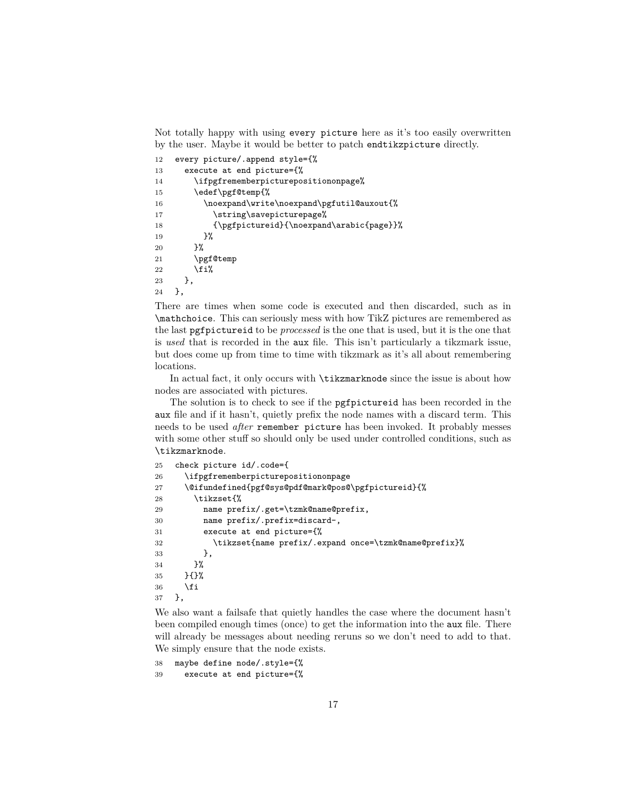Not totally happy with using every picture here as it's too easily overwritten by the user. Maybe it would be better to patch endtikzpicture directly.

```
12 every picture/.append style={%
13 execute at end picture={%
14 \ifpgfrememberpicturepositiononpage%
15 \edef\pgf@temp{%
16 \noexpand\write\noexpand\pgfutil@auxout{%
17 \string\savepicturepage%
18 {\pgfpictureid}{\noexpand\arabic{page}}%
19 }%
20 }%
21 \pgf@temp
22 \overrightarrow{fi}23 },
24 },
```
There are times when some code is executed and then discarded, such as in \mathchoice. This can seriously mess with how TikZ pictures are remembered as the last pgfpictureid to be *processed* is the one that is used, but it is the one that is *used* that is recorded in the aux file. This isn't particularly a tikzmark issue, but does come up from time to time with tikzmark as it's all about remembering locations.

In actual fact, it only occurs with \tikzmarknode since the issue is about how nodes are associated with pictures.

The solution is to check to see if the pgfpictureid has been recorded in the aux file and if it hasn't, quietly prefix the node names with a discard term. This needs to be used *after* remember picture has been invoked. It probably messes with some other stuff so should only be used under controlled conditions, such as \tikzmarknode.

```
25 check picture id/.code={
26 \ifpgfrememberpicturepositiononpage
27 \@ifundefined{pgf@sys@pdf@mark@pos@\pgfpictureid}{%
28 \tikzset{%
29 name prefix/.get=\tzmk@name@prefix,
30 name prefix/.prefix=discard-,
31 execute at end picture={%
32 \tikzset{name prefix/.expand once=\tzmk@name@prefix}%
33   },
34 }%
35 }{}%
36 \fi
37 },
```
We also want a failsafe that quietly handles the case where the document hasn't been compiled enough times (once) to get the information into the aux file. There will already be messages about needing reruns so we don't need to add to that. We simply ensure that the node exists.

```
38 maybe define node/.style={%
39 execute at end picture={%
```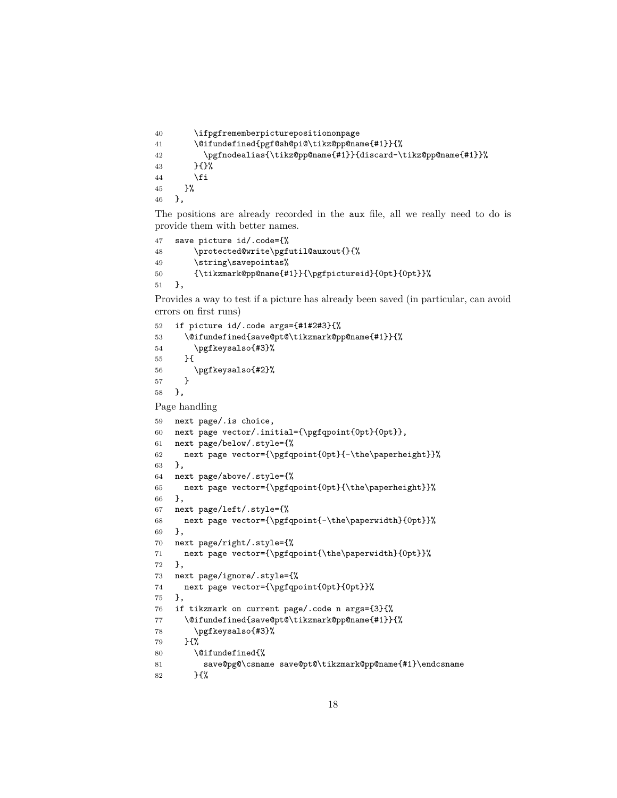```
40 \ifpgfrememberpicturepositiononpage
41 \@ifundefined{pgf@sh@pi@\tikz@pp@name{#1}}{%
42 \pgfnodealias{\tikz@pp@name{#1}}{discard-\tikz@pp@name{#1}}%
43 }{}%
44 \fi
45 }%
46 },
```
The positions are already recorded in the aux file, all we really need to do is provide them with better names.

```
47 save picture id/.code={%
48 \protected@write\pgfutil@auxout{}{%
49 \string\savepointas%
50 {\tikzmark@pp@name{#1}}{\pgfpictureid}{0pt}{0pt}}%
51 },
```
Provides a way to test if a picture has already been saved (in particular, can avoid errors on first runs)

```
52 if picture id/.code args={#1#2#3}{%
53 \@ifundefined{save@pt@\tikzmark@pp@name{#1}}{%
54 \pgfkeysalso{#3}%
55 }{
56 \pgfkeysalso{#2}%
57 }
58 },
```
Page handling

```
59 next page/.is choice,
60 next page vector/.initial={\pgfqpoint{0pt}{0pt}},
61 next page/below/.style={%
62 next page vector={\pgfqpoint{0pt}{-\the\paperheight}}%
63 },
64 next page/above/.style={%
65 next page vector={\pgfqpoint{0pt}{\the\paperheight}}%
66 },
67 next page/left/.style={%
68 next page vector={\pgfqpoint{-\the\paperwidth}{0pt}}%
69 },
70 next page/right/.style={%
71 next page vector={\pgfqpoint{\the\paperwidth}{0pt}}%
72 },
73 next page/ignore/.style={%
74 next page vector={\pgfqpoint{0pt}{0pt}}%
75 },
76 if tikzmark on current page/.code n args={3}{%
77 \@ifundefined{save@pt@\tikzmark@pp@name{#1}}{%
78 \pgfkeysalso{#3}%
79 }{%
80 \@ifundefined{%
81 save@pg@\csname save@pt@\tikzmark@pp@name{#1}\endcsname
82 }{%
```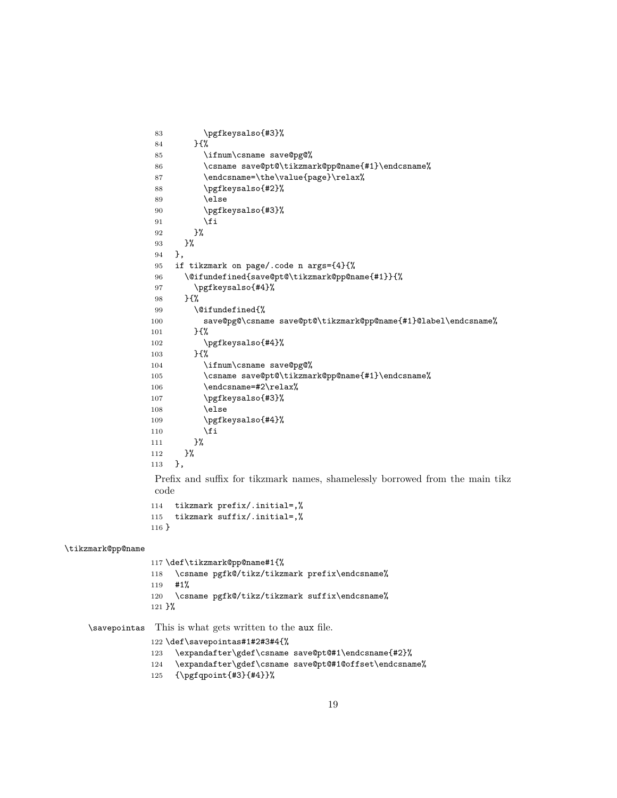```
83 \pgfkeysalso{#3}%
84 }{%
85 \ifnum\csname save@pg@%
86 \csname save@pt@\tikzmark@pp@name{#1}\endcsname%
87 \endcsname=\the\value{page}\relax%
88 \pgfkeysalso{#2}%
89 \else
90 \pgfkeysalso{#3}%
91 \setminusfi
92 }%
93 }%
94 },
95 if tikzmark on page/.code n args={4}{%
96 \@ifundefined{save@pt@\tikzmark@pp@name{#1}}{%
97 \pgfkeysalso{#4}%
98 }{%
99 \@ifundefined{%
100 save@pg@\csname save@pt@\tikzmark@pp@name{#1}@label\endcsname%
101 }{%
102 \pgfkeysalso{#4}%
103 }{%
104 \ifnum\csname save@pg@%
105 \csname save@pt@\tikzmark@pp@name{#1}\endcsname%
106 \endcsname=#2\relax%
107 \pgfkeysalso{#3}%
108 \else
109 \pgfkeysalso{#4}%
110 \quad \text{if}111   \frac{1}{2}112 }%
113 },
Prefix and suffix for tikzmark names, shamelessly borrowed from the main tikz
code
114 tikzmark prefix/.initial=,%
```

```
115 tikzmark suffix/.initial=,%
116 }
```
#### \tikzmark@pp@name

 \def\tikzmark@pp@name#1{% \csname pgfk@/tikz/tikzmark prefix\endcsname% #1% \csname pgfk@/tikz/tikzmark suffix\endcsname% }%

\savepointas This is what gets written to the aux file.

\def\savepointas#1#2#3#4{%

```
123 \expandafter\gdef\csname save@pt@#1\endcsname{#2}%
```
- \expandafter\gdef\csname save@pt@#1@offset\endcsname%
- {\pgfqpoint{#3}{#4}}%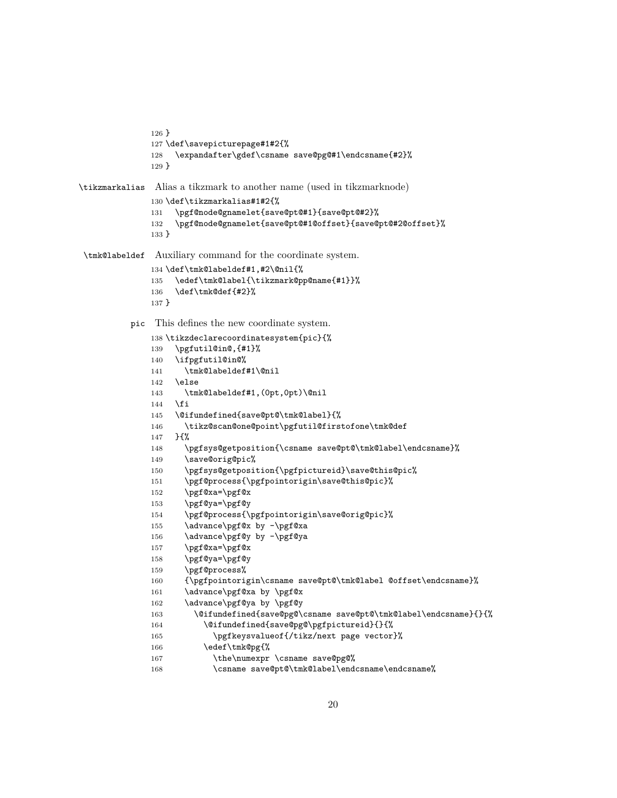```
126 }
              127 \def\savepicturepage#1#2{%
              128 \expandafter\gdef\csname save@pg@#1\endcsname{#2}%
              129 }
\tikzmarkalias Alias a tikzmark to another name (used in tikzmarknode)
              130 \def\tikzmarkalias#1#2{%
              131 \pgf@node@gnamelet{save@pt@#1}{save@pt@#2}%
              132 \pgf@node@gnamelet{save@pt@#1@offset}{save@pt@#2@offset}%
              133 }
 \tmk@labeldef Auxiliary command for the coordinate system.
              134 \def\tmk@labeldef#1,#2\@nil{%
              135 \edef\tmk@label{\tikzmark@pp@name{#1}}%
              136 \def\tmk@def{#2}%
              137 }
          pic This defines the new coordinate system.
              138 \tikzdeclarecoordinatesystem{pic}{%
              139 \pgfutil@in@,{#1}%
              140 \ifpgfutil@in@%
              141 \tmk@labeldef#1\@nil
              142 \else
              143 \tmk@labeldef#1,(0pt,0pt)\@nil
              144 \fi
              145 \@ifundefined{save@pt@\tmk@label}{%
              146 \tikz@scan@one@point\pgfutil@firstofone\tmk@def
              147 }{%
              148 \pgfsys@getposition{\csname save@pt@\tmk@label\endcsname}%
              149 \save@orig@pic%
              150 \pgfsys@getposition{\pgfpictureid}\save@this@pic%
              151 \pgf@process{\pgfpointorigin\save@this@pic}%
              152 \pgf@xa=\pgf@x
              153 \pgf@ya=\pgf@y
              154 \pgf@process{\pgfpointorigin\save@orig@pic}%
              155 \advance\pgf@x by -\pgf@xa
              156 \advance\pgf@y by -\pgf@ya
              157 \pgf@xa=\pgf@x
              158 \pgf@ya=\pgf@y
              159 \pgf@process%
              160 {\pgfpointorigin\csname save@pt@\tmk@label @offset\endcsname}%
              161 \advance\pgf@xa by \pgf@x
              162 \advance\pgf@ya by \pgf@y
              163 \@ifundefined{save@pg@\csname save@pt@\tmk@label\endcsname}{}{%
              164 \@ifundefined{save@pg@\pgfpictureid}{}{%
              165 \pgfkeysvalueof{/tikz/next page vector}%
              166 \edef\tmk@pg{%
              167 \the\numexpr \csname save@pg@%
              168 \csname save@pt@\tmk@label\endcsname\endcsname%
```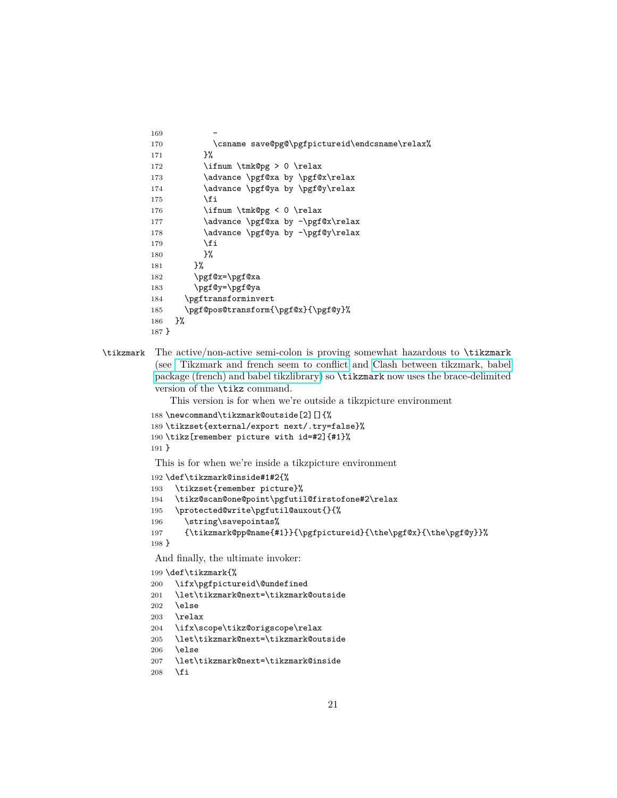```
169
170 \csname save@pg@\pgfpictureid\endcsname\relax%
171 }%
172 \ifnum \tmk@pg > 0 \relax
173 \advance \pgf@xa by \pgf@x\relax
174 \advance \pgf@ya by \pgf@y\relax
175 \fi
176 \ifnum \tmk@pg < 0 \relax
177 \advance \pgf@xa by -\pgf@x\relax
178 \advance \pgf@ya by -\pgf@y\relax
179 \fi
180 }%
181    }%
182 \pgf@x=\pgf@xa
183 \pgf@y=\pgf@ya
184 \pgftransforminvert
185 \pgf@pos@transform{\pgf@x}{\pgf@y}%
186 }%
187 }
```
\tikzmark The active/non-active semi-colon is proving somewhat hazardous to \tikzmark (see [Tikzmark and french seem to conflict](http://tex.stackexchange.com/q/110014/86) and [Clash between tikzmark, babel](http://tex.stackexchange.com/q/335485/86) [package \(french\) and babel tikzlibrary\)](http://tex.stackexchange.com/q/335485/86) so \tikzmark now uses the brace-delimited version of the \tikz command.

This version is for when we're outside a tikzpicture environment

```
188 \newcommand\tikzmark@outside[2][]{%
```

```
189 \tikzset{external/export next/.try=false}%
190 \tikz[remember picture with id=#2]{#1}%
```
191 }

This is for when we're inside a tikzpicture environment

```
192 \def\tikzmark@inside#1#2{%
```

```
193 \tikzset{remember picture}%
```

```
194 \tikz@scan@one@point\pgfutil@firstofone#2\relax
```

```
195 \protected@write\pgfutil@auxout{}{%
```

```
196 \string\savepointas%
```

```
197 {\tikzmark@pp@name{#1}}{\pgfpictureid}{\the\pgf@x}{\the\pgf@y}}%
```

```
198 }
```
And finally, the ultimate invoker:

```
199 \def\tikzmark{%
```

```
200 \ifx\pgfpictureid\@undefined
```

```
201 \let\tikzmark@next=\tikzmark@outside
```

```
202 \else
```

```
203 \relax
```

```
204 \ifx\scope\tikz@origscope\relax
```

```
205 \let\tikzmark@next=\tikzmark@outside
```

```
206 \else
```

```
207 \let\tikzmark@next=\tikzmark@inside
```

```
208 \fi
```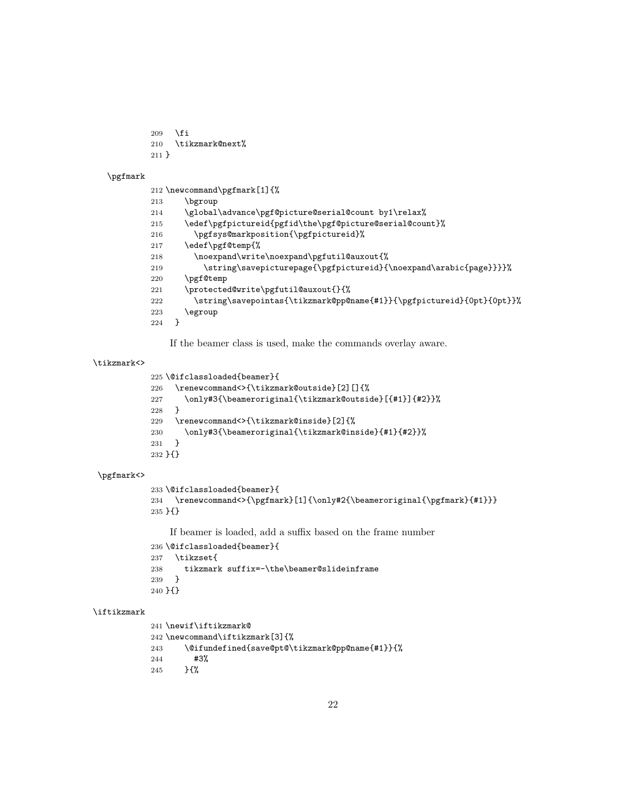```
209 \overline{\text{fi}}
```

```
210 \tikzmark@next%
```

```
211 }
```
\pgfmark

```
212 \newcommand\pgfmark[1]{%
213 \bgroup
214 \global\advance\pgf@picture@serial@count by1\relax%
215 \edef\pgfpictureid{pgfid\the\pgf@picture@serial@count}%
216 \pgfsys@markposition{\pgfpictureid}%
217 \edef\pgf@temp{%
218 \noexpand\write\noexpand\pgfutil@auxout{%
219 \string\savepicturepage{\pgfpictureid}{\noexpand\arabic{page}}}}%
220 \pgf@temp
221 \protected@write\pgfutil@auxout{}{%
222 \string\savepointas{\tikzmark@pp@name{#1}}{\pgfpictureid}{0pt}{0pt}}%
223 \egroup
224 }
```
If the beamer class is used, make the commands overlay aware.

### \tikzmark<>

```
225 \@ifclassloaded{beamer}{
226 \renewcommand<>{\tikzmark@outside}[2][]{%
227 \only#3{\beameroriginal{\tikzmark@outside}[{#1}]{#2}}%
228 }
229 \renewcommand<>{\tikzmark@inside}[2]{%
230 \only#3{\beameroriginal{\tikzmark@inside}{#1}{#2}}%
231 }
232 }{}
```
## \pgfmark<>

```
233 \@ifclassloaded{beamer}{
234 \renewcommand<>{\pgfmark}[1]{\only#2{\beameroriginal{\pgfmark}{#1}}}
235 }{}
```
If beamer is loaded, add a suffix based on the frame number

```
236 \@ifclassloaded{beamer}{
237 \tikzset{
238 tikzmark suffix=-\the\beamer@slideinframe
239 }
240 }{}
```
#### \iftikzmark

```
241 \newif\iftikzmark@
242 \newcommand\iftikzmark[3]{%
243 \@ifundefined{save@pt@\tikzmark@pp@name{#1}}{%
244 #3%
245 }{%
```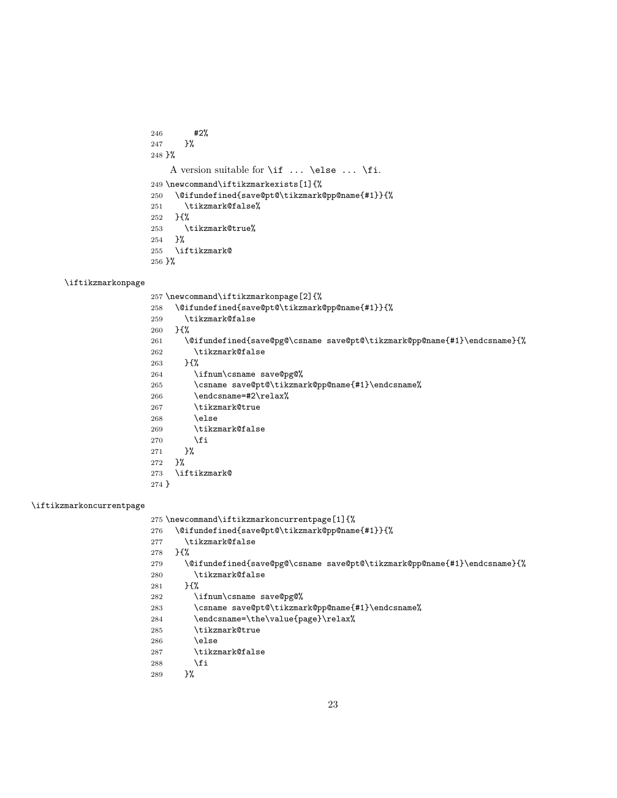#2% }% }% A version suitable for \if ... \else ... \fi. \newcommand\iftikzmarkexists[1]{% \@ifundefined{save@pt@\tikzmark@pp@name{#1}}{% \tikzmark@false% }{% 253  $\text{tikzmark@true}$ <br>254 }% \iftikzmark@ }%

### \iftikzmarkonpage

 \newcommand\iftikzmarkonpage[2]{% \@ifundefined{save@pt@\tikzmark@pp@name{#1}}{% \tikzmark@false }{% \@ifundefined{save@pg@\csname save@pt@\tikzmark@pp@name{#1}\endcsname}{% \tikzmark@false }{% \ifnum\csname save@pg@% \csname save@pt@\tikzmark@pp@name{#1}\endcsname% 266 \endcsname=#2\relax% \tikzmark@true \else \tikzmark@false \fi }% }% \iftikzmark@ }

## \iftikzmarkoncurrentpage

275 \newcommand\iftikzmarkoncurrentpage[1]{%

```
276 \@ifundefined{save@pt@\tikzmark@pp@name{#1}}{%
```
- \tikzmark@false
- }{%
- \@ifundefined{save@pg@\csname save@pt@\tikzmark@pp@name{#1}\endcsname}{% \tikzmark@false
- }{%
- \ifnum\csname save@pg@%
- \csname save@pt@\tikzmark@pp@name{#1}\endcsname%
- 284 \endcsname=\the\value{page}\relax%
- \tikzmark@true
- 286 \else
- \tikzmark@false
- 288 \fi
- }%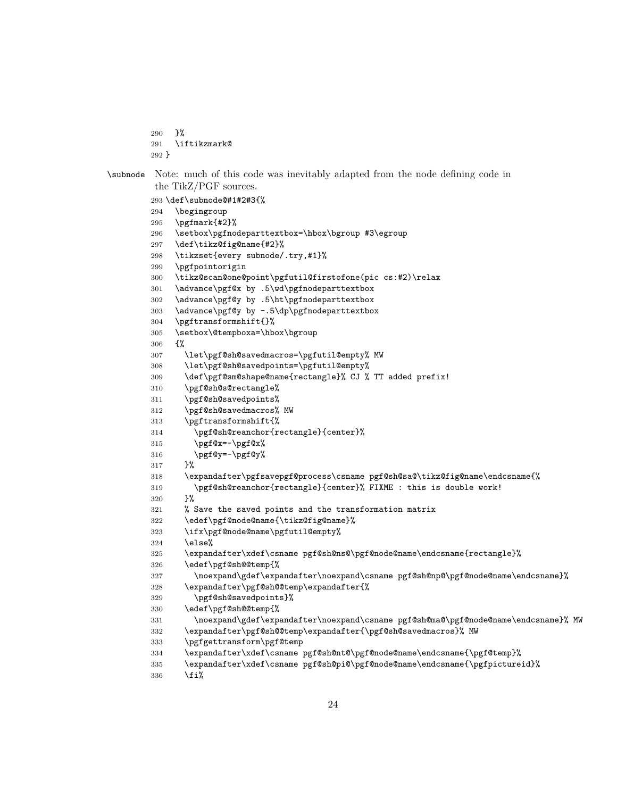```
290 }%
        291 \iftikzmark@
        292 }
\subnode Note: much of this code was inevitably adapted from the node defining code in
         the TikZ/PGF sources.
        293 \def\subnode@#1#2#3{%
        294 \begingroup
        295 \pgfmark{#2}%
        296 \setbox\pgfnodeparttextbox=\hbox\bgroup #3\egroup
        297 \def\tikz@fig@name{#2}%
        298 \tikzset{every subnode/.try,#1}%
        299 \pgfpointorigin
        300 \tikz@scan@one@point\pgfutil@firstofone(pic cs:#2)\relax
        301 \advance\pgf@x by .5\wd\pgfnodeparttextbox
        302 \advance\pgf@y by .5\ht\pgfnodeparttextbox
        303 \advance\pgf@y by -.5\dp\pgfnodeparttextbox
        304 \pgftransformshift{}%
        305 \setbox\@tempboxa=\hbox\bgroup
        306 {%
        307 \let\pgf@sh@savedmacros=\pgfutil@empty% MW
        308 \let\pgf@sh@savedpoints=\pgfutil@empty%
        309 \def\pgf@sm@shape@name{rectangle}% CJ % TT added prefix!
        310 \pgf@sh@s@rectangle%
        311 \pgf@sh@savedpoints%
        312 \pgf@sh@savedmacros% MW
        313 \pgftransformshift{%
        314 \pgf@sh@reanchor{rectangle}{center}%
        315 \pgf@x=-\pgf@x%316 \pgf@y=-\pgf@y%
        317 }%
        318 \expandafter\pgfsavepgf@process\csname pgf@sh@sa@\tikz@fig@name\endcsname{%
        319 \pgf@sh@reanchor{rectangle}{center}% FIXME : this is double work!
        320 }%
        321 % Save the saved points and the transformation matrix
        322 \edef\pgf@node@name{\tikz@fig@name}%
        323 \ifx\pgf@node@name\pgfutil@empty%
        324 \else%
        325 \expandafter\xdef\csname pgf@sh@ns@\pgf@node@name\endcsname{rectangle}%
        326 \edef\pgf@sh@@temp{%
        327 \noexpand\gdef\expandafter\noexpand\csname pgf@sh@np@\pgf@node@name\endcsname}%
        328 \expandafter\pgf@sh@@temp\expandafter{%
        329 \pgf@sh@savedpoints}%
        330 \edef\pgf@sh@@temp{%
        331 \noexpand\gdef\expandafter\noexpand\csname pgf@sh@ma@\pgf@node@name\endcsname}% MW
        332 \expandafter\pgf@sh@@temp\expandafter{\pgf@sh@savedmacros}% MW
        333 \pgfgettransform\pgf@temp
        334 \expandafter\xdef\csname pgf@sh@nt@\pgf@node@name\endcsname{\pgf@temp}%
        335 \expandafter\xdef\csname pgf@sh@pi@\pgf@node@name\endcsname{\pgfpictureid}%
        336 \overline{\text{if}}
```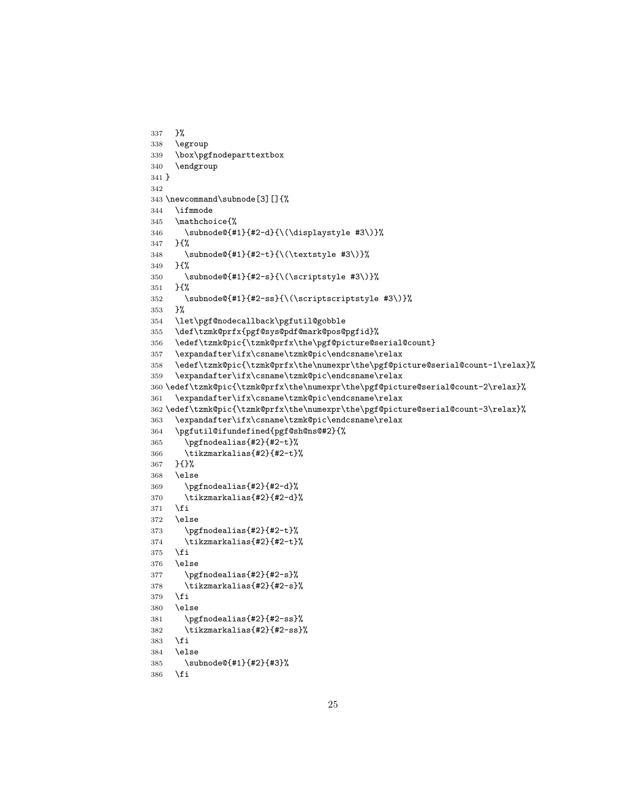```
337 }%
338 \egroup
339 \box\pgfnodeparttextbox
340 \endgroup
341 }
342
343 \newcommand\subnode[3][]{%
344 \ifmmode
345 \mathchoice{%
346 \subnode@{#1}{#2-d}{\(\displaystyle #3\)}%
347 }{%
348 \subnode@{#1}{#2-t}{\(\textstyle #3\)}%
349 }{%
350 \subnode@{#1}{#2-s}{\(\scriptstyle #3\)}%
351 }{%
352 \subnode@{#1}{#2-ss}{\(\scriptscriptstyle #3\)}%
353 }%
354 \let\pgf@nodecallback\pgfutil@gobble
355 \def\tzmk@prfx{pgf@sys@pdf@mark@pos@pgfid}%
356 \edef\tzmk@pic{\tzmk@prfx\the\pgf@picture@serial@count}
357 \expandafter\ifx\csname\tzmk@pic\endcsname\relax
358 \edef\tzmk@pic{\tzmk@prfx\the\numexpr\the\pgf@picture@serial@count-1\relax}%
359 \expandafter\ifx\csname\tzmk@pic\endcsname\relax
360 \edef\tzmk@pic{\tzmk@prfx\the\numexpr\the\pgf@picture@serial@count-2\relax}%
361 \expandafter\ifx\csname\tzmk@pic\endcsname\relax
362 \edef\tzmk@pic{\tzmk@prfx\the\numexpr\the\pgf@picture@serial@count-3\relax}%
363 \expandafter\ifx\csname\tzmk@pic\endcsname\relax
364 \pgfutil@ifundefined{pgf@sh@ns@#2}{%
365 \pgfnodealias{#2}{#2-t}%
366 \tikzmarkalias{#2}{#2-t}%
367 }{}%
368 \else
369 \pgfnodealias{#2}{#2-d}%
370 \tikzmarkalias{#2}{#2-d}%
371 \fi
372 \else
373 \pgfnodealias{#2}{#2-t}%
374 \tikzmarkalias{#2}{#2-t}%
375 \fi
376 \else
377 \pgfnodealias{#2}{#2-s}%
378 \tikzmarkalias{#2}{#2-s}%
379 \fi
380 \else
381 \pgfnodealias{#2}{#2-ss}%
382 \tikzmarkalias{#2}{#2-ss}%
383 \fi
384 \else
385 \subnode@{#1}{#2}{#3}%
386 \fi
```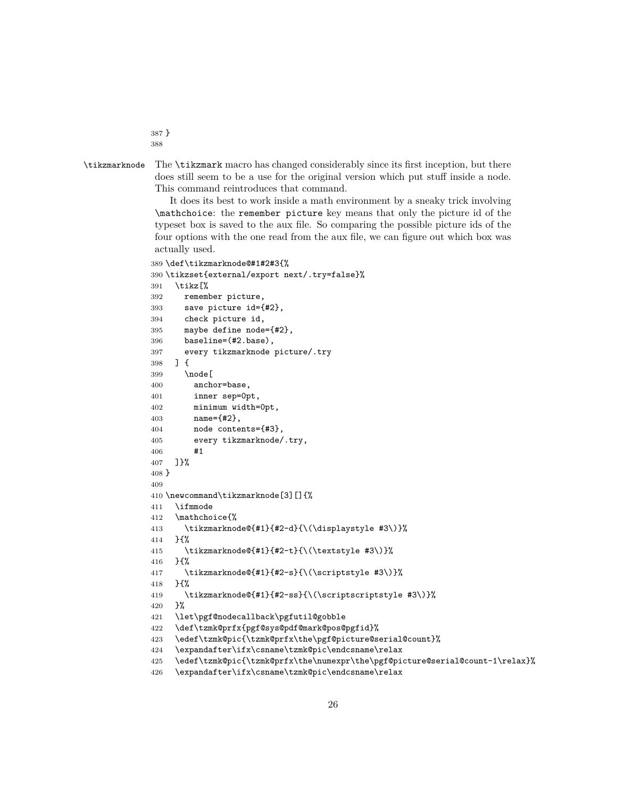} 

\tikzmarknode The \tikzmark macro has changed considerably since its first inception, but there does still seem to be a use for the original version which put stuff inside a node. This command reintroduces that command.

It does its best to work inside a math environment by a sneaky trick involving \mathchoice: the remember picture key means that only the picture id of the typeset box is saved to the aux file. So comparing the possible picture ids of the four options with the one read from the aux file, we can figure out which box was actually used.

```
389 \def\tikzmarknode@#1#2#3{%
390 \tikzset{external/export next/.try=false}%
391 \tikz[%
392 remember picture,
393 save picture id={#2},
394 check picture id,
395 maybe define node={#2},
396 baseline=(#2.base),
397 every tikzmarknode picture/.try
398 ] {
399 \node [
400 anchor=base,
401 inner sep=0pt,
402 minimum width=0pt,
403 name={#2},
404 node contents={#3},
405 every tikzmarknode/.try,
406 #1
407 ]}%
408 }
409
410 \newcommand\tikzmarknode[3][]{%
411 \ifmmode
412 \mathchoice{%
413 \tikzmarknode@{#1}{#2-d}{\(\displaystyle #3\)}%
414 }{%
415 \tikzmarknode@{#1}{#2-t}{\(\textstyle #3\)}%
416 }{%
417 \tikzmarknode@{#1}{#2-s}{\(\scriptstyle #3\)}%
418 }{%
419 \tikzmarknode@{#1}{#2-ss}{\(\scriptscriptstyle #3\)}%
420 }%
421 \let\pgf@nodecallback\pgfutil@gobble
422 \def\tzmk@prfx{pgf@sys@pdf@mark@pos@pgfid}%
423 \edef\tzmk@pic{\tzmk@prfx\the\pgf@picture@serial@count}%
424 \expandafter\ifx\csname\tzmk@pic\endcsname\relax
425 \edef\tzmk@pic{\tzmk@prfx\the\numexpr\the\pgf@picture@serial@count-1\relax}%
426 \expandafter\ifx\csname\tzmk@pic\endcsname\relax
```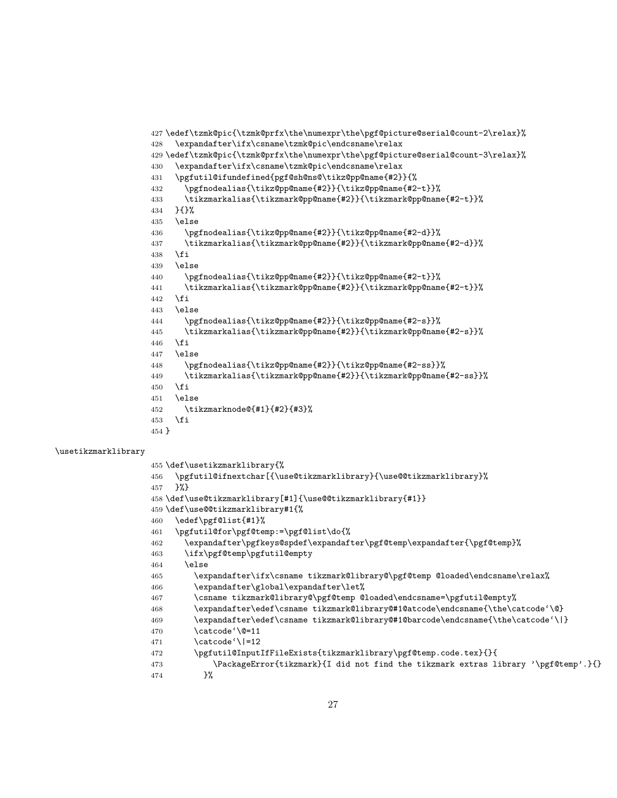```
427 \edef\tzmk@pic{\tzmk@prfx\the\numexpr\the\pgf@picture@serial@count-2\relax}%
428 \expandafter\ifx\csname\tzmk@pic\endcsname\relax
429 \edef\tzmk@pic{\tzmk@prfx\the\numexpr\the\pgf@picture@serial@count-3\relax}%
430 \expandafter\ifx\csname\tzmk@pic\endcsname\relax
431 \pgfutil@ifundefined{pgf@sh@ns@\tikz@pp@name{#2}}{%
432 \pgfnodealias{\tikz@pp@name{#2}}{\tikz@pp@name{#2-t}}%
433 \tikzmarkalias{\tikzmark@pp@name{#2}}{\tikzmark@pp@name{#2-t}}%
434 }{}%
435 \else
436 \pgfnodealias{\tikz@pp@name{#2}}{\tikz@pp@name{#2-d}}%
437 \tikzmarkalias{\tikzmark@pp@name{#2}}{\tikzmark@pp@name{#2-d}}%
438 \fi
439 \else
440 \pgfnodealias{\tikz@pp@name{#2}}{\tikz@pp@name{#2-t}}%
441 \tikzmarkalias{\tikzmark@pp@name{#2}}{\tikzmark@pp@name{#2-t}}%
442 \fi
443 \else
444 \pgfnodealias{\tikz@pp@name{#2}}{\tikz@pp@name{#2-s}}%
445 \tikzmarkalias{\tikzmark@pp@name{#2}}{\tikzmark@pp@name{#2-s}}%
446 \fi
447 \else
448 \pgfnodealias{\tikz@pp@name{#2}}{\tikz@pp@name{#2-ss}}%
449 \tikzmarkalias{\tikzmark@pp@name{#2}}{\tikzmark@pp@name{#2-ss}}%
450 \fi
451 \lambdaelse
452 \tikzmarknode@{#1}{#2}{#3}%
453 \fi
454 }
```
#### \usetikzmarklibrary

```
455 \def\usetikzmarklibrary{%
456 \pgfutil@ifnextchar[{\use@tikzmarklibrary}{\use@@tikzmarklibrary}%
457 }%}
458 \def\use@tikzmarklibrary[#1]{\use@@tikzmarklibrary{#1}}
459 \def\use@@tikzmarklibrary#1{%
460 \edef\pgf@list{#1}%
461 \pgfutil@for\pgf@temp:=\pgf@list\do{%
462 \qquad \texttt{\verb+exp}+ \texttt{\verb+exp}+ \texttt{\verb+exp}+ \texttt{\verb+exp}+ \texttt{\verb+exp}+ \texttt{\verb+exp}+ \texttt{\verb+exp}+ \texttt{\verb+exp}+ \texttt{\verb+exp}+ \texttt{\verb+exp}+ \texttt{\verb+exp}+ \texttt{\verb+exp}+ \texttt{\verb+exp}+ \texttt{\verb+exp}+ \texttt{\verb+exp}+ \texttt{\verb+exp}+ \texttt{\verb+exp}+ \texttt{\verb+exp}+ \texttt{\verb+exp}+ \texttt{\verb+exp}+ \texttt{\verb+exp}+ \texttt{\verb+exp}+ \texttt{\verb+exp}+ \texttt{\verb+exp463 \ifx\pgf@temp\pgfutil@empty
464 \else
465 \expandafter\ifx\csname tikzmark@library@\pgf@temp @loaded\endcsname\relax%
466 \expandafter\global\expandafter\let%
467 \csname tikzmark@library@\pgf@temp @loaded\endcsname=\pgfutil@empty%
468 \expandafter\edef\csname tikzmark@library@#1@atcode\endcsname{\the\catcode'\@}
469 \expandafter\edef\csname tikzmark@library@#1@barcode\endcsname{\the\catcode'\|}
470 \catcode'\@=11
471 \catcode'\|=12
472 \pgfutil@InputIfFileExists{tikzmarklibrary\pgf@temp.code.tex}{}{
473 \PackageError{tikzmark}{I did not find the tikzmark extras library '\pgf@temp'.}{}
474 }%
```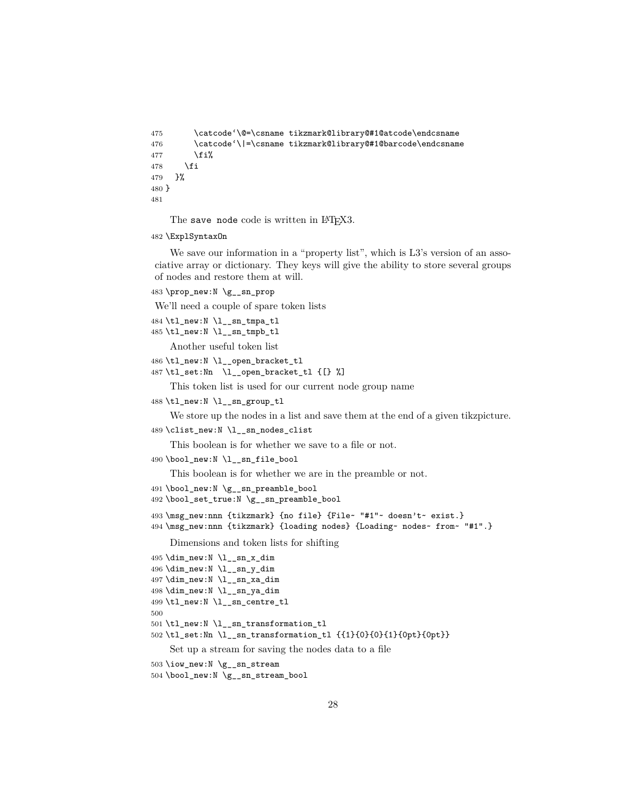```
475 \catcode'\@=\csname tikzmark@library@#1@atcode\endcsname
476 \catcode'\|=\csname tikzmark@library@#1@barcode\endcsname
477 \fi%
478 \fi
479 }%
480 }
481
```
The save node code is written in LATEX3.

\ExplSyntaxOn

We save our information in a "property list", which is L3's version of an associative array or dictionary. They keys will give the ability to store several groups of nodes and restore them at will.

\prop\_new:N \g\_\_sn\_prop

We'll need a couple of spare token lists

```
484 \tl_new:N \l__sn_tmpa_tl
```
\tl\_new:N \l\_\_sn\_tmpb\_tl

```
Another useful token list
```
- \tl\_new:N \l\_\_open\_bracket\_tl
- \tl\_set:Nn \l\_\_open\_bracket\_tl {[} %]

This token list is used for our current node group name

\tl\_new:N \l\_\_sn\_group\_tl

We store up the nodes in a list and save them at the end of a given tikzpicture.

```
489 \clist_new:N \l__sn_nodes_clist
```
This boolean is for whether we save to a file or not.

```
490 \bool_new:N \l__sn_file_bool
```
This boolean is for whether we are in the preamble or not.

```
491 \bool_new:N \g__sn_preamble_bool
```
\bool\_set\_true:N \g\_\_sn\_preamble\_bool

```
493 \msg_new:nnn {tikzmark} {no file} {File~ "#1"~ doesn't~ exist.}
494 \msg_new:nnn {tikzmark} {loading nodes} {Loading~ nodes~ from~ "#1".}
```
Dimensions and token lists for shifting

```
495 \dim_new:N \l__sn_x_dim
496 \dim_new:N \l__sn_y_dim
497 \dim_new:N \l__sn_xa_dim
498 \dim_new:N \l__sn_ya_dim
499 \tl_new:N \l__sn_centre_tl
500
501 \tl_new:N \l__sn_transformation_tl
502 \tl_set:Nn \l__sn_transformation_tl {{1}{0}{0}{1}{0pt}{0pt}}
    Set up a stream for saving the nodes data to a file
```

```
503 \iow_new:N \g__sn_stream
```

```
504 \bool_new:N \g__sn_stream_bool
```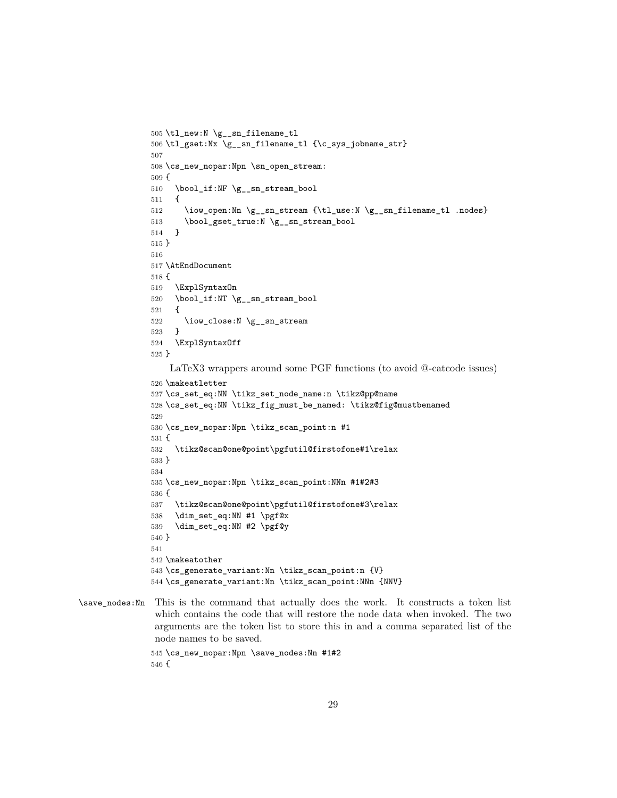```
505 \tl_new:N \g__sn_filename_tl
506 \tl_gset:Nx \g__sn_filename_tl {\c_sys_jobname_str}
507
508 \cs_new_nopar:Npn \sn_open_stream:
509 {
510 \bool_if:NF \g__sn_stream_bool
511 {
512 \iow_open:Nn \g__sn_stream {\tl_use:N \g__sn_filename_tl .nodes}
513 \bool_gset_true:N \g__sn_stream_bool
514 }
515 }
516
517 \AtEndDocument
518 {
519 \ExplSyntaxOn
520 \bool_if:NT \g__sn_stream_bool
521 \quad 52522 \iow_close:N \g__sn_stream
523 }
524 \ExplSyntaxOff
525 }
    LaTeX3 wrappers around some PGF functions (to avoid @-catcode issues)
526 \makeatletter
527 \cs_set_eq:NN \tikz_set_node_name:n \tikz@pp@name
528 \cs_set_eq:NN \tikz_fig_must_be_named: \tikz@fig@mustbenamed
529
530 \cs_new_nopar:Npn \tikz_scan_point:n #1
531 {
532 \tikz@scan@one@point\pgfutil@firstofone#1\relax
533 }
534
535 \cs_new_nopar:Npn \tikz_scan_point:NNn #1#2#3
536 {
537 \tikz@scan@one@point\pgfutil@firstofone#3\relax
538 \dim_set_eq:NN #1 \pgf@x
539 \dim_set_eq:NN #2 \pgf@y
540 }
541
542 \makeatother
543 \cs_generate_variant:Nn \tikz_scan_point:n {V}
544 \cs_generate_variant:Nn \tikz_scan_point:NNn {NNV}
```

```
\save_nodes:Nn This is the command that actually does the work. It constructs a token list
                which contains the code that will restore the node data when invoked. The two
                arguments are the token list to store this in and a comma separated list of the
                node names to be saved.
```

```
545 \cs_new_nopar:Npn \save_nodes:Nn #1#2
546 {
```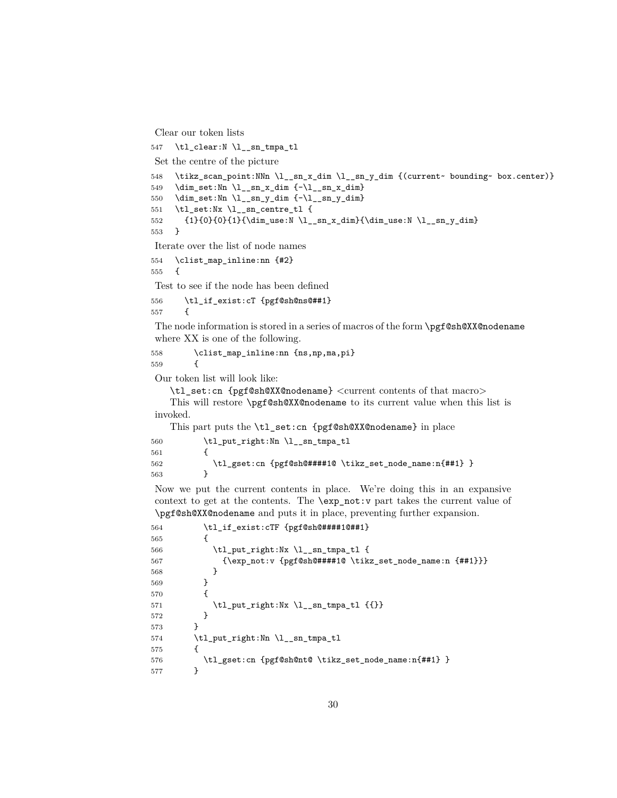```
Clear our token lists
```

```
547 \tl clear:N \l sn tmpa tl
Set the centre of the picture
548 \tikz_scan_point:NNn \l__sn_x_dim \l__sn_y_dim {(current~ bounding~ box.center)}
549 \dim_set:Nn \l__sn_x_dim {-\l__sn_x_dim}
550 \dim_set:Nn \l__sn_y_dim {-\lceil -\text{sn}_y_d \rceil}551 \tl_set:Nx \l__sn_centre_tl {
552 {1}{0}{0}{1}{\dim_use:N \l_sn_x.dim} {\dim_use:N \l_sn_y.dim}553 }
Iterate over the list of node names
554 \clist_map_inline:nn {#2}
555 {
Test to see if the node has been defined
556 \tl_if_exist:cT {pgf@sh@ns@##1}
557 {
The node information is stored in a series of macros of the form \pgf@sh@XX@nodename
where XX is one of the following.
558 \clist_map_inline:nn {ns,np,ma,pi}
559 {
Our token list will look like:
    \tl_set:cn {pgf@sh@XX@nodename} <current contents of that macro>
    This will restore \pgf@sh@XX@nodename to its current value when this list is
invoked.
    This part puts the \tl_set:cn {pgf@sh@XX@nodename} in place
560 \tl_put_right:Nn \l__sn_tmpa_tl
561 {
562 \tl_gset:cn {pgf@sh@####1@ \tikz_set_node_name:n{##1} }
563 }
Now we put the current contents in place. We're doing this in an expansive
context to get at the contents. The \exp_not:v part takes the current value of
\pgf@sh@XX@nodename and puts it in place, preventing further expansion.
564 \tl_if_exist:cTF {pgf@sh@####1@##1}
565 {
566 \tl_put_right:Nx \l__sn_tmpa_tl {
567 {\exp_not:v {pgf@sh@####1@ \tikz_set_node_name:n {##1}}}
568 }
```

```
569 }
570 {
571 \tilde{\text{pt}}:\Nx \lvert_{sn\_tmpa_t1} \lvert \{\{\}\}\572 }
573 }
574 \tl_put_right:Nn \l__sn_tmpa_tl
575 {
576 \tl_gset:cn {pgf@sh@nt@ \tikz_set_node_name:n{##1} }
577 }
```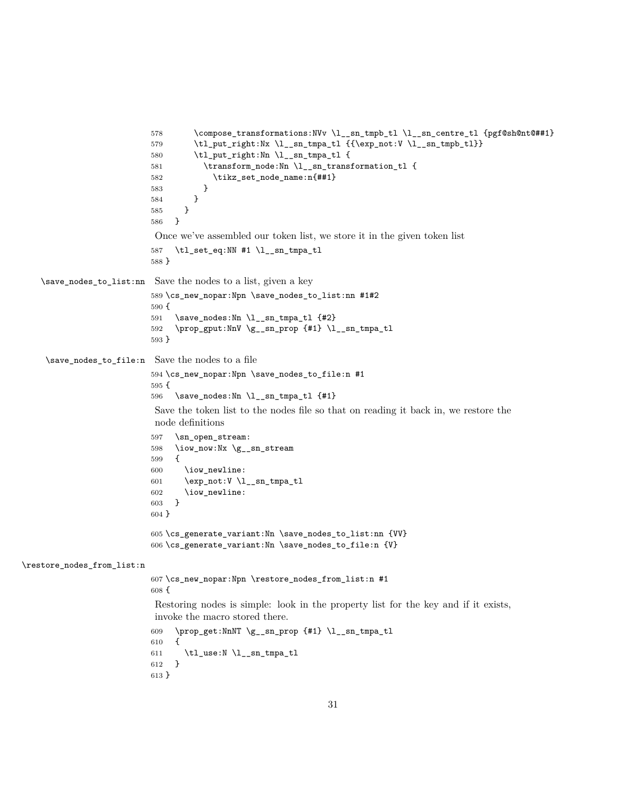```
578 \compose_transformations:NVv \l__sn_tmpb_tl \l__sn_centre_tl {pgf@sh@nt@##1}
                           579 \tilde{\mathrm{Nx \l_2sn\_tmpa_t1} \{\textexp}_not:V \l_2sn\_tmpb_t1}\}580 \tl_put_right:Nn \l__sn_tmpa_tl {
                           581 \transform_node:Nn \l__sn_transformation_tl {
                           582 \tikz_set_node_name:n{##1}
                           583 }
                           584 }
                           585 }
                           586 }
                            Once we've assembled our token list, we store it in the given token list
                           587 \tl_set_eq:NN #1 \l__sn_tmpa_tl
                           588 }
    \save_nodes_to_list:nn Save the nodes to a list, given a key
                           589 \cs_new_nopar:Npn \save_nodes_to_list:nn #1#2
                           590 {
                           591 \save_nodes:Nn \l__sn_tmpa_tl {#2}
                           592 \prop_gput:NnV \g__sn_prop {#1} \l__sn_tmpa_tl
                           593 }
     \save_nodes_to_file:n Save the nodes to a file
                           594 \cs_new_nopar:Npn \save_nodes_to_file:n #1
                           595 {
                           596 \save_nodes:Nn \l__sn_tmpa_tl {#1}
                            Save the token list to the nodes file so that on reading it back in, we restore the
                            node definitions
                           597 \sn_open_stream:
                           598 \iow_now:Nx \g__sn_stream
                           599 {
                           600 \iow_newline:
                           601 \exp_not:V \l__sn_tmpa_tl
                           602 \iow_newline:
                           603 }
                           604 }
                           605 \cs_generate_variant:Nn \save_nodes_to_list:nn {VV}
                           606 \cs_generate_variant:Nn \save_nodes_to_file:n {V}
\restore_nodes_from_list:n
                           607 \cs_new_nopar:Npn \restore_nodes_from_list:n #1
                           608 {
                            Restoring nodes is simple: look in the property list for the key and if it exists,
                            invoke the macro stored there.
                           609 \prop_get:NnNT \g__sn_prop {#1} \l__sn_tmpa_tl
                           610 {
                           611 \tlambda \tl_use:N \l__sn_tmpa_tl<br>612 }
                           612 }
                           613 }
```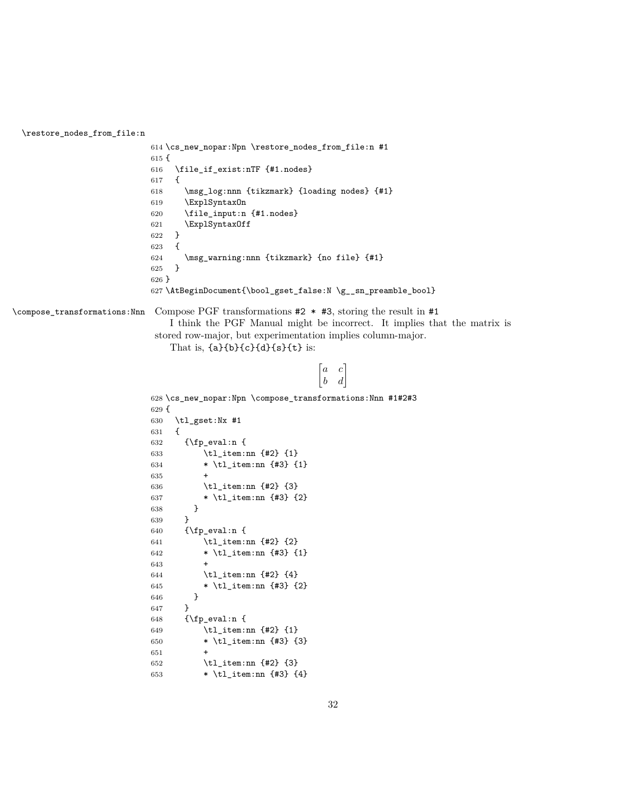\restore\_nodes\_from\_file:n

```
614 \cs_new_nopar:Npn \restore_nodes_from_file:n #1
                            615 {
                            616 \file_if_exist:nTF {#1.nodes}
                            617 {
                            618 \msg_log:nnn {tikzmark} {loading nodes} {#1}
                            619 \ExplSyntaxOn
                            620 \file_input:n {#1.nodes}
                            621 \ExplSyntaxOff
                            622 }
                            623 {
                            624 \msg_warning:nnn {tikzmark} {no file} {#1}
                            625 }
                            626 }
                            627 \AtBeginDocument{\bool_gset_false:N \g__sn_preamble_bool}
\compose_transformations:Nnn Compose PGF transformations #2 * #3, storing the result in #1
                                I think the PGF Manual might be incorrect. It implies that the matrix is
                             stored row-major, but experimentation implies column-major.
                                That is, {a}{b}{c}{d}{d}{s}{t}, i
a c
                                                               \begin{vmatrix} b & d \end{vmatrix}628 \cs_new_nopar:Npn \compose_transformations:Nnn #1#2#3
                            629 {
                            630 \tl_gset:Nx #1
                            631 {
                            632 {\text{Vfp\_eval:n}}633 \tl_item:nn {#2} {1}
                            634 * \tl_item:nn {#3} {1}
                            635 +
                            636 \tl_item:nn {#2} {3}
                            637 * \tl_item:nn {#3} {2}
                            638 }<br>639 }
                            639
                            640 {\text{Vfp\_eval:n}}641 \tl_item:nn {#2} {2}
                            642 * \tl_item:nn {#3} {1}
                            643 +
                            644 \tl_item:nn {#2} {4}
                            645 * \tl_item:nn {#3} {2}
                            646 }
                            647 }
                            648 {\fp_eval:n {
                            649 \tl_item:nn {#2} {1}
                            650 * \tl_item:nn {#3} {3}
                            651 +
                            652 \tl_item:nn {#2} {3}
                            653 * \tlambda = \tlambda = \lt a + \lt b = 1
```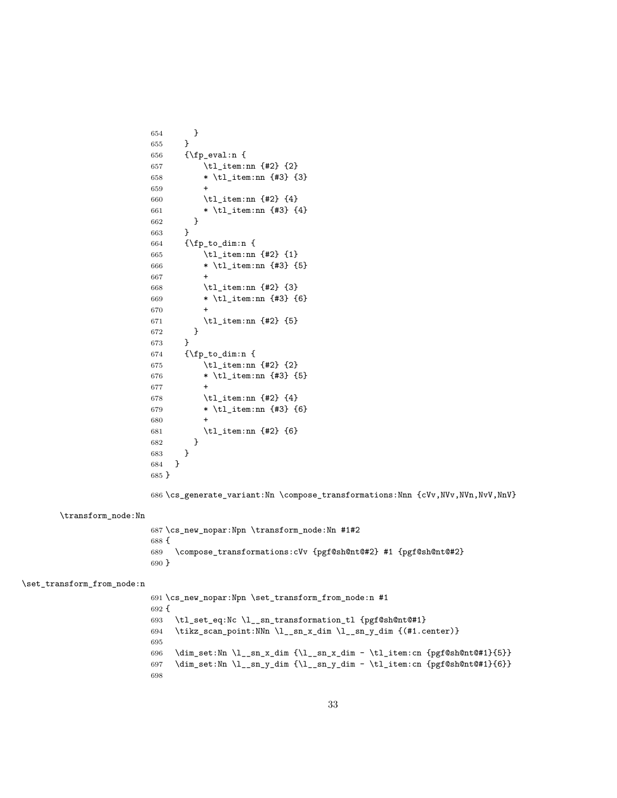```
654 }
                        655 }
                        656 {\bf f}_{p_eval:n}657 \tl_item:nn {#2} {2}
                        658 * \tl_item:nn {#3} {3}
                        659 +
                        660 \tl_item:nn {#2} {4}
                        661 * \tl_item:nn {#3} {4}
                        662 }
                        663 }
                        664 {\fp_to_dim:n {
                        665 \tl_item:nn {#2} {1}
                        666 * \tl_item:nn {#3} {5}
                        667 +
                        668 \tl_item:nn {#2} {3}
                        669 * \tl_item:nn {#3} {6}
                        670
                        671 \tl_item:nn {#2} {5}
                        672 }
                        673 }
                        674 {\fp_to_dim:n {
                        675 \tilde{t}_\text{item:nn} {#2} {2}
                        676 * \tl_item:nn {#3} {5}
                        677 +
                        678 \tl_item:nn {#2} {4}
                        679 * \tl_item:nn {#3} {6}
                        680 +
                        681 \tl_item:nn {#2} {6}
                        682 }
                        683 }
                        684 }
                        685 }
                        686 \cs_generate_variant:Nn \compose_transformations:Nnn {cVv,NVv,NVn,NvV,NnV}
       \transform_node:Nn
                        687 \cs_new_nopar:Npn \transform_node:Nn #1#2
                        688 {
                        689 \compose_transformations:cVv {pgf@sh@nt@#2} #1 {pgf@sh@nt@#2}
                        690 }
\set_transform_from_node:n
                        691 \cs_new_nopar:Npn \set_transform_from_node:n #1
                        692 {
                        693 \tl_set_eq:Nc \l__sn_transformation_tl {pgf@sh@nt@#1}
                        694 \tikz_scan_point:NNn \l__sn_x_dim \l__sn_y_dim {(#1.center)}
```

```
33
```
696 \dim\_set:Nn \l\_\_sn\_x\_dim {\l\_\_sn\_x\_dim - \tl\_item:cn {pgf@sh@nt@#1}{5}} 697 \dim\_set:Nn \l\_\_sn\_y\_dim {\l\_\_sn\_y\_dim - \tl\_item:cn {pgf@sh@nt@#1}{6}}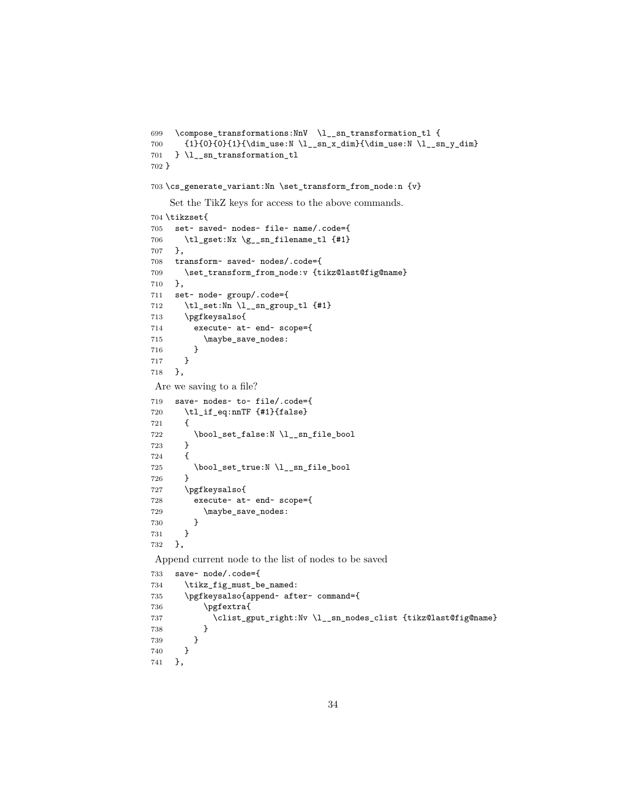```
699 \compose_transformations:NnV \l__sn_transformation_tl {
700 {1}{0}{0}{1}{\dim_use:N \l_sn_x.dim}{\dim_use:N \l_sn_y.dim}701 } \l__sn_transformation_tl
702 }
703 \cs_generate_variant:Nn \set_transform_from_node:n {v}
   Set the TikZ keys for access to the above commands.
704 \tikzset{
705 set~ saved~ nodes~ file~ name/.code={
706 \tl_gset:Nx \g__sn_filename_tl {#1}
707 },
708 transform~ saved~ nodes/.code={
709 \set_transform_from_node:v {tikz@last@fig@name}
710 },
711 set~ node~ group/.code={
712 \tl_set:Nn \l__sn_group_tl {#1}
713 \pgfkeysalso{
714 execute~ at~ end~ scope={
715 \maybe_save_nodes:
716 }<br>
717 }
717 }
718 },
Are we saving to a file?
719 save~ nodes~ to~ file/.code={
720 \tl_if_eq:nnTF {#1}{false}
721 {
722 \bool_set_false:N \l__sn_file_bool
723 }<br>724 {
724 {
725 \bool_set_true:N \l__sn_file_bool
726 }
727 \pgfkeysalso{
728 execute~ at~ end~ scope={
729 \maybe_save_nodes:
730 }
731 }
732 },
Append current node to the list of nodes to be saved
733 save~ node/.code={
734 \tikz_fig_must_be_named:
735 \pgfkeysalso{append~ after~ command={
736 \pgfextra{
737 \clist_gput_right:Nv \l__sn_nodes_clist {tikz@last@fig@name}
738 }
739 }
740 }
741 },
```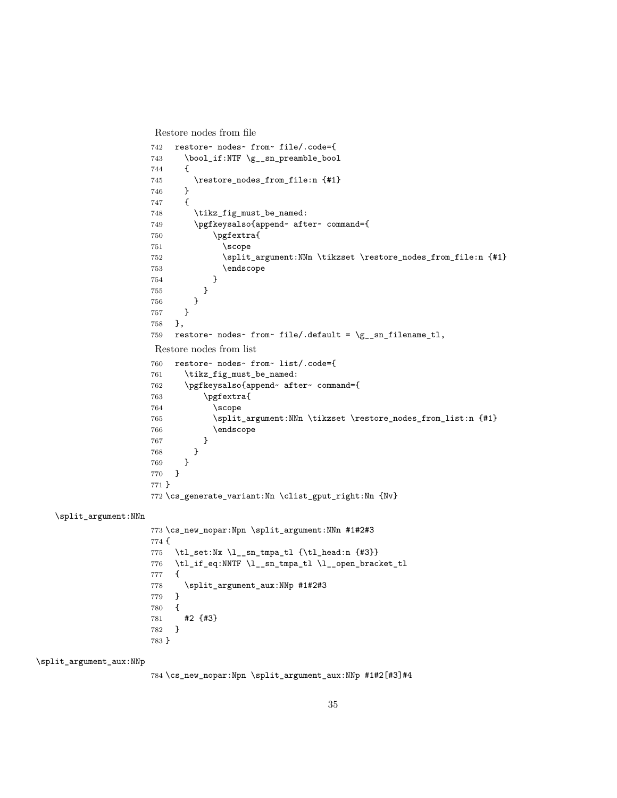```
Restore nodes from file
```

```
742 restore~ nodes~ from~ file/.code={
743 \boldsymbol{\delta} \bool_if:NTF \g__sn_preamble_bool
744 {
745 \restore_nodes_from_file:n {#1}
746 }
747 {
748 \tikz_fig_must_be_named:
749 \pgfkeysalso{append~ after~ command={
750 \pgfextra{
751 \scope
752 \split_argument:NNn \tikzset \restore_nodes_from_file:n {#1}
753 \endscope
754 }
755 }
756 }
757 }
758 },
759 restore~ nodes~ from~ file/.default = \gtrsim_{g}sn_filename_tl,
Restore nodes from list
760 restore~ nodes~ from~ list/.code={
761 \tikz_fig_must_be_named:
762 \pgfkeysalso{append~ after~ command={
763 \pgfextra{
764 \scope
765 \split_argument:NNn \tikzset \restore_nodes_from_list:n {#1}
766 \endscope
767 }
768 }
769 }
770 }
771 }
772 \cs_generate_variant:Nn \clist_gput_right:Nn {Nv}
```
\split\_argument:NNn

 \cs\_new\_nopar:Npn \split\_argument:NNn #1#2#3 { \tl\_set:Nx \l\_\_sn\_tmpa\_tl {\tl\_head:n {#3}} \tl\_if\_eq:NNTF \l\_\_sn\_tmpa\_tl \l\_\_open\_bracket\_tl { \split\_argument\_aux:NNp #1#2#3 } { #2 {#3} } }

\split\_argument\_aux:NNp

\cs\_new\_nopar:Npn \split\_argument\_aux:NNp #1#2[#3]#4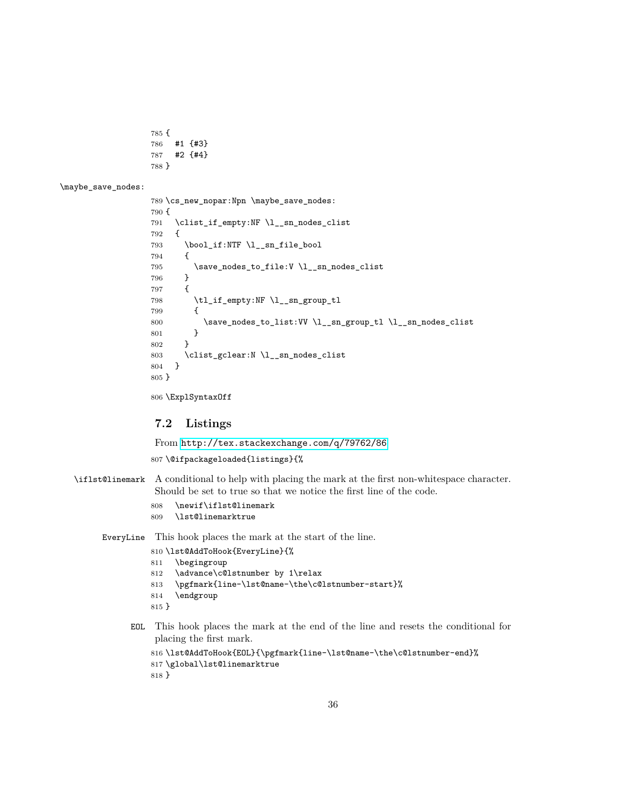```
785 {
786 #1 {#3}
787 #2 {#4}
788 }
```
\maybe\_save\_nodes:

```
789 \cs_new_nopar:Npn \maybe_save_nodes:
790 {
791 \clist_if_empty:NF \l__sn_nodes_clist
792 {
793 \bool_if:NTF \l__sn_file_bool
794 {
795 \simeq\_nodes_to_file:V \l_sm\_nodes_clist<br>796 }
796 }
797 {
798 \tl_if_empty:NF \l__sn_group_tl
799 {
800 \save_nodes_to_list:VV \l__sn_group_tl \l__sn_nodes_clist
801 }
802 }
803 \clist_gclear:N l_sn_nodes_clist<br>804 }
804 }
805 }
```
\ExplSyntaxOff

## **7.2 Listings**

From <http://tex.stackexchange.com/q/79762/86>

\@ifpackageloaded{listings}{%

- \iflst@linemark A conditional to help with placing the mark at the first non-whitespace character. Should be set to true so that we notice the first line of the code.
	- 808 \newif\iflst@linemark<br>809 \lst@linemarktrue
	- \lst@linemarktrue

EveryLine This hook places the mark at the start of the line.

- \lst@AddToHook{EveryLine}{%
- \begingroup
- 812 \advance\c@lstnumber by 1\relax
- \pgfmark{line-\lst@name-\the\c@lstnumber-start}%
- \endgroup
- }
- EOL This hook places the mark at the end of the line and resets the conditional for placing the first mark.

```
% \begin{array}{l} \begin{array}{c} \begin{array}{c} \begin{array}{c} \begin{array}{c} \end{array}\\ \end{array}\\ \begin{array}{c} \end{array}\\ \end{array}\\ \begin{array}{c} \begin{array}{c} \end{array}\\ \end{array}\\ \begin{array}{c} \begin{array}{c} \end{array}\\ \end{array}\\ \end{array}\\ \begin{array}{c} \begin{array}{c} \end{array}\\ \end{array}\\ \begin{array}{c} \begin{array}{c} \end{array}\\ \end{array}\\ \end{array}\\ \begin{array}{c} \begin{array}{c} \end{array}\\ \end{array}\\ \end{array}\\ \begin{array}{c} \begin{array}{c} \end{array}\\ \end{817 \global\lst@linemarktrue
818 }
```